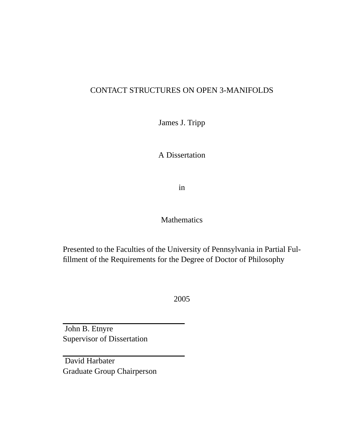#### CONTACT STRUCTURES ON OPEN 3-MANIFOLDS

James J. Tripp

A Dissertation

in

#### **Mathematics**

Presented to the Faculties of the University of Pennsylvania in Partial Fulfillment of the Requirements for the Degree of Doctor of Philosophy

2005

John B. Etnyre Supervisor of Dissertation

David Harbater Graduate Group Chairperson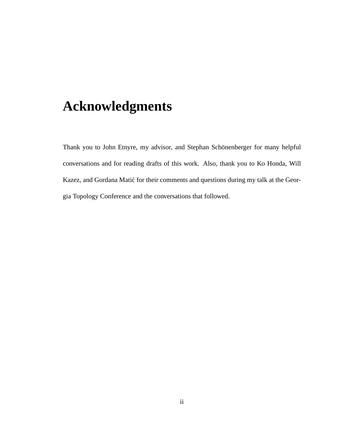# **Acknowledgments**

Thank you to John Etnyre, my advisor, and Stephan Schönenberger for many helpful conversations and for reading drafts of this work. Also, thank you to Ko Honda, Will Kazez, and Gordana Matić for their comments and questions during my talk at the Georgia Topology Conference and the conversations that followed.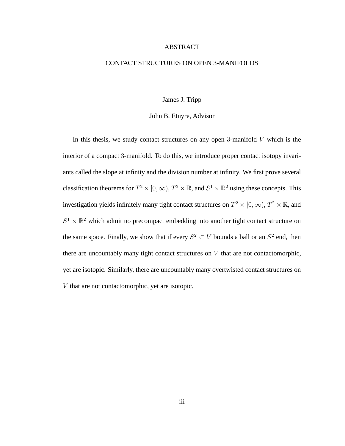#### ABSTRACT

#### CONTACT STRUCTURES ON OPEN 3-MANIFOLDS

#### James J. Tripp

#### John B. Etnyre, Advisor

In this thesis, we study contact structures on any open 3-manifold  $V$  which is the interior of a compact 3-manifold. To do this, we introduce proper contact isotopy invariants called the slope at infinity and the division number at infinity. We first prove several classification theorems for  $T^2 \times [0, \infty)$ ,  $T^2 \times \mathbb{R}$ , and  $S^1 \times \mathbb{R}^2$  using these concepts. This investigation yields infinitely many tight contact structures on  $T^2 \times [0,\infty)$ ,  $T^2 \times \mathbb{R}$ , and  $S^1 \times \mathbb{R}^2$  which admit no precompact embedding into another tight contact structure on the same space. Finally, we show that if every  $S^2 \subset V$  bounds a ball or an  $S^2$  end, then there are uncountably many tight contact structures on  $V$  that are not contactomorphic, yet are isotopic. Similarly, there are uncountably many overtwisted contact structures on V that are not contactomorphic, yet are isotopic.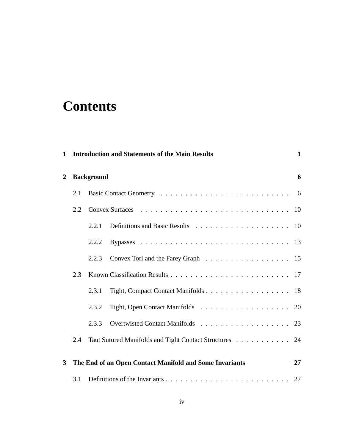# **Contents**

| 1            |     | <b>Introduction and Statements of the Main Results</b>  | $\mathbf{1}$ |
|--------------|-----|---------------------------------------------------------|--------------|
| $\mathbf{2}$ |     | <b>Background</b>                                       | 6            |
|              | 2.1 |                                                         |              |
|              | 2.2 |                                                         |              |
|              |     | 2.2.1                                                   |              |
|              |     | 2.2.2                                                   |              |
|              |     | Convex Tori and the Farey Graph 15<br>2.2.3             |              |
|              | 2.3 |                                                         |              |
|              |     | Tight, Compact Contact Manifolds 18<br>2.3.1            |              |
|              |     | Tight, Open Contact Manifolds 20<br>2.3.2               |              |
|              |     | Overtwisted Contact Manifolds 23<br>2.3.3               |              |
|              | 2.4 | Taut Sutured Manifolds and Tight Contact Structures 24  |              |
| $\mathbf{3}$ |     | The End of an Open Contact Manifold and Some Invariants | 27           |
|              |     |                                                         |              |
|              | 3.1 |                                                         |              |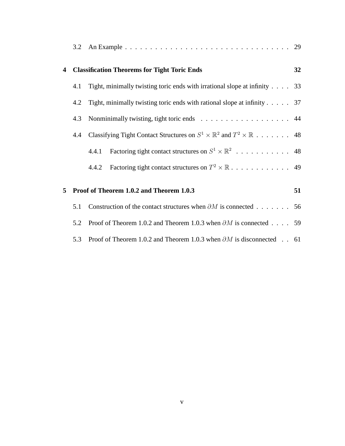|   | 3.2 |                                                                                                     |    |
|---|-----|-----------------------------------------------------------------------------------------------------|----|
| 4 |     | <b>Classification Theorems for Tight Toric Ends</b>                                                 | 32 |
|   | 4.1 | Tight, minimally twisting toric ends with irrational slope at infinity $\ldots$ . 33                |    |
|   | 4.2 | Tight, minimally twisting toric ends with rational slope at infinity 37                             |    |
|   | 4.3 | Nonminimally twisting, tight toric ends 44                                                          |    |
|   | 4.4 | Classifying Tight Contact Structures on $S^1 \times \mathbb{R}^2$ and $T^2 \times \mathbb{R}$ 48    |    |
|   |     | Factoring tight contact structures on $S^1 \times \mathbb{R}^2 \dots \dots \dots \dots$ 48<br>4.4.1 |    |
|   |     | 4.4.2                                                                                               |    |
| 5 |     | Proof of Theorem 1.0.2 and Theorem 1.0.3                                                            | 51 |
|   |     |                                                                                                     |    |
|   | 5.1 | Construction of the contact structures when $\partial M$ is connected 56                            |    |
|   | 5.2 | Proof of Theorem 1.0.2 and Theorem 1.0.3 when $\partial M$ is connected 59                          |    |
|   | 5.3 | Proof of Theorem 1.0.2 and Theorem 1.0.3 when $\partial M$ is disconnected 61                       |    |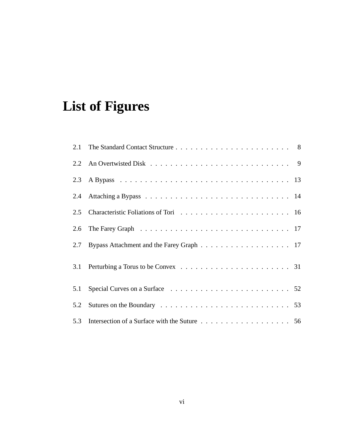# **List of Figures**

| 2.5 |                                              |
|-----|----------------------------------------------|
|     |                                              |
|     | 2.7 Bypass Attachment and the Farey Graph 17 |
|     |                                              |
| 5.1 |                                              |
| 5.2 |                                              |
| 5.3 |                                              |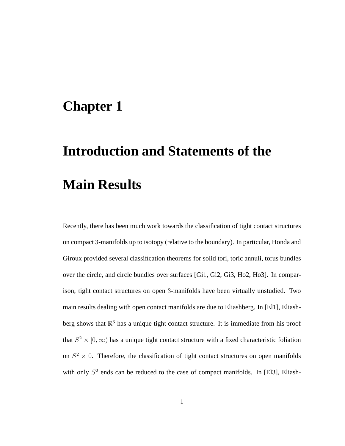## **Chapter 1**

# **Introduction and Statements of the Main Results**

Recently, there has been much work towards the classification of tight contact structures on compact 3-manifolds up to isotopy (relative to the boundary). In particular, Honda and Giroux provided several classification theorems for solid tori, toric annuli, torus bundles over the circle, and circle bundles over surfaces [Gi1, Gi2, Gi3, Ho2, Ho3]. In comparison, tight contact structures on open 3-manifolds have been virtually unstudied. Two main results dealing with open contact manifolds are due to Eliashberg. In [El1], Eliashberg shows that  $\mathbb{R}^3$  has a unique tight contact structure. It is immediate from his proof that  $S^2 \times [0, \infty)$  has a unique tight contact structure with a fixed characteristic foliation on  $S^2 \times 0$ . Therefore, the classification of tight contact structures on open manifolds with only  $S<sup>2</sup>$  ends can be reduced to the case of compact manifolds. In [El3], Eliash-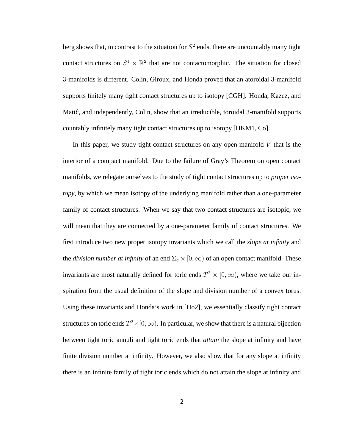berg shows that, in contrast to the situation for  $S^2$  ends, there are uncountably many tight contact structures on  $S^1 \times \mathbb{R}^2$  that are not contactomorphic. The situation for closed 3-manifolds is different. Colin, Giroux, and Honda proved that an atoroidal 3-manifold supports finitely many tight contact structures up to isotopy [CGH]. Honda, Kazez, and Matić, and independently, Colin, show that an irreducible, toroidal 3-manifold supports countably infinitely many tight contact structures up to isotopy [HKM1, Co].

In this paper, we study tight contact structures on any open manifold  $V$  that is the interior of a compact manifold. Due to the failure of Gray's Theorem on open contact manifolds, we relegate ourselves to the study of tight contact structures up to *proper isotopy*, by which we mean isotopy of the underlying manifold rather than a one-parameter family of contact structures. When we say that two contact structures are isotopic, we will mean that they are connected by a one-parameter family of contact structures. We first introduce two new proper isotopy invariants which we call the *slope at infinity* and the *division number at infinity* of an end  $\Sigma_g \times [0, \infty)$  of an open contact manifold. These invariants are most naturally defined for toric ends  $T^2 \times [0, \infty)$ , where we take our inspiration from the usual definition of the slope and division number of a convex torus. Using these invariants and Honda's work in [Ho2], we essentially classify tight contact structures on toric ends  $T^2 \times [0, \infty)$ . In particular, we show that there is a natural bijection between tight toric annuli and tight toric ends that *attain* the slope at infinity and have finite division number at infinity. However, we also show that for any slope at infinity there is an infinite family of tight toric ends which do not attain the slope at infinity and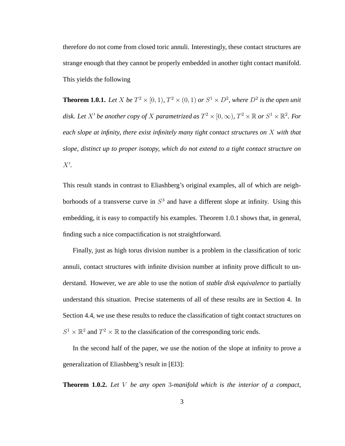therefore do not come from closed toric annuli. Interestingly, these contact structures are strange enough that they cannot be properly embedded in another tight contact manifold. This yields the following

**Theorem 1.0.1.** Let X be  $T^2 \times [0,1)$ ,  $T^2 \times (0,1)$  or  $S^1 \times D^2$ , where  $D^2$  is the open unit disk. Let  $X'$  be another copy of  $X$  parametrized as  $T^2 \times [0,\infty)$ ,  $T^2 \times \mathbb{R}$  or  $S^1 \times \mathbb{R}^2$ . For *each slope at infinity, there exist infinitely many tight contact structures on* X *with that slope, distinct up to proper isotopy, which do not extend to a tight contact structure on* X′ *.*

This result stands in contrast to Eliashberg's original examples, all of which are neighborhoods of a transverse curve in  $S<sup>3</sup>$  and have a different slope at infinity. Using this embedding, it is easy to compactify his examples. Theorem 1.0.1 shows that, in general, finding such a nice compactification is not straightforward.

Finally, just as high torus division number is a problem in the classification of toric annuli, contact structures with infinite division number at infinity prove difficult to understand. However, we are able to use the notion of *stable disk equivalence* to partially understand this situation. Precise statements of all of these results are in Section 4. In Section 4.4, we use these results to reduce the classification of tight contact structures on  $S^1 \times \mathbb{R}^2$  and  $T^2 \times \mathbb{R}$  to the classification of the corresponding toric ends.

In the second half of the paper, we use the notion of the slope at infinity to prove a generalization of Eliashberg's result in [El3]:

**Theorem 1.0.2.** *Let* V *be any open* 3*-manifold which is the interior of a compact,*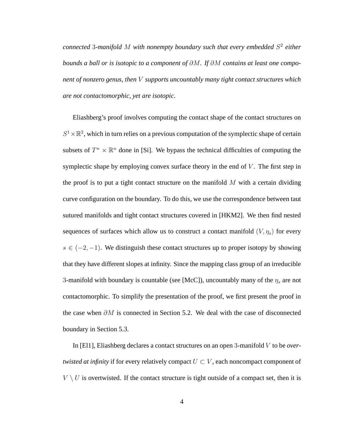*connected* 3*-manifold* M *with nonempty boundary such that every embedded* S 2 *either bounds a ball or is isotopic to a component of* ∂M*. If* ∂M *contains at least one component of nonzero genus, then* V *supports uncountably many tight contact structures which are not contactomorphic, yet are isotopic.*

Eliashberg's proof involves computing the contact shape of the contact structures on  $S^1 \times \mathbb{R}^2$ , which in turn relies on a previous computation of the symplectic shape of certain subsets of  $T^n \times \mathbb{R}^n$  done in [Si]. We bypass the technical difficulties of computing the symplectic shape by employing convex surface theory in the end of  $V$ . The first step in the proof is to put a tight contact structure on the manifold  $M$  with a certain dividing curve configuration on the boundary. To do this, we use the correspondence between taut sutured manifolds and tight contact structures covered in [HKM2]. We then find nested sequences of surfaces which allow us to construct a contact manifold  $(V, \eta_s)$  for every  $s \in (-2, -1)$ . We distinguish these contact structures up to proper isotopy by showing that they have different slopes at infinity. Since the mapping class group of an irreducible 3-manifold with boundary is countable (see [McC]), uncountably many of the  $\eta_s$  are not contactomorphic. To simplify the presentation of the proof, we first present the proof in the case when  $\partial M$  is connected in Section 5.2. We deal with the case of disconnected boundary in Section 5.3.

In [El1], Eliashberg declares a contact structures on an open 3-manifold V to be *overtwisted at infinity* if for every relatively compact  $U \subset V$ , each noncompact component of  $V \setminus U$  is overtwisted. If the contact structure is tight outside of a compact set, then it is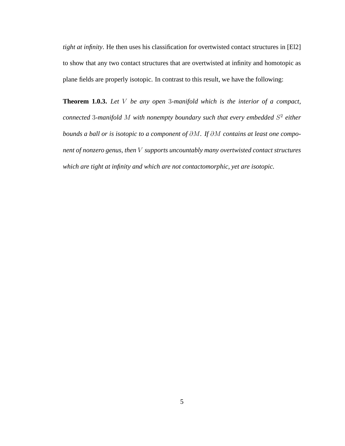*tight at infinity*. He then uses his classification for overtwisted contact structures in [El2] to show that any two contact structures that are overtwisted at infinity and homotopic as plane fields are properly isotopic. In contrast to this result, we have the following:

**Theorem 1.0.3.** *Let* V *be any open* 3*-manifold which is the interior of a compact, connected* 3*-manifold* M *with nonempty boundary such that every embedded* S 2 *either bounds a ball or is isotopic to a component of* ∂M*. If* ∂M *contains at least one component of nonzero genus, then* V *supports uncountably many overtwisted contact structures which are tight at infinity and which are not contactomorphic, yet are isotopic.*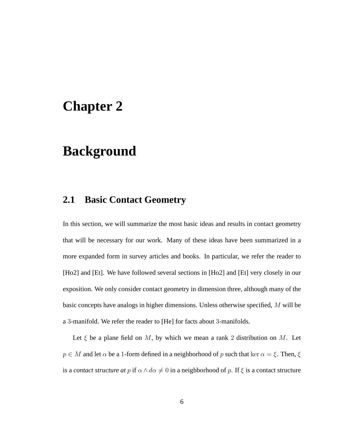## **Chapter 2**

## **Background**

#### **2.1 Basic Contact Geometry**

In this section, we will summarize the most basic ideas and results in contact geometry that will be necessary for our work. Many of these ideas have been summarized in a more expanded form in survey articles and books. In particular, we refer the reader to [Ho2] and [Et]. We have followed several sections in [Ho2] and [Et] very closely in our exposition. We only consider contact geometry in dimension three, although many of the basic concepts have analogs in higher dimensions. Unless otherwise specified, M will be a 3-manifold. We refer the reader to [He] for facts about 3-manifolds.

Let  $\xi$  be a plane field on M, by which we mean a rank 2 distribution on M. Let  $p \in M$  and let  $\alpha$  be a 1-form defined in a neighborhood of p such that ker  $\alpha = \xi$ . Then,  $\xi$ is a *contact structure at* p if  $\alpha \wedge d\alpha \neq 0$  in a neighborhood of p. If  $\xi$  is a contact structure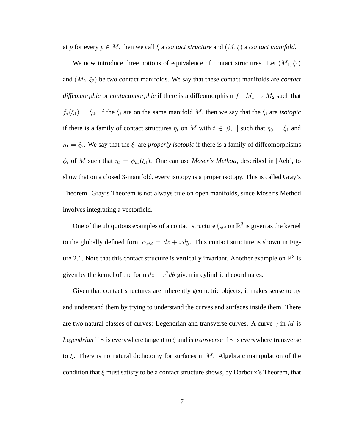at p for every  $p \in M$ , then we call  $\xi$  a *contact structure* and  $(M, \xi)$  a *contact manifold*.

We now introduce three notions of equivalence of contact structures. Let  $(M_1, \xi_1)$ and  $(M_2, \xi_2)$  be two contact manifolds. We say that these contact manifolds are *contact diffeomorphic* or *contactomorphic* if there is a diffeomorphism  $f: M_1 \rightarrow M_2$  such that  $f_*(\xi_1) = \xi_2$ . If the  $\xi_i$  are on the same manifold M, then we say that the  $\xi_i$  are *isotopic* if there is a family of contact structures  $\eta_t$  on M with  $t \in [0, 1]$  such that  $\eta_0 = \xi_1$  and  $\eta_1 = \xi_2$ . We say that the  $\xi_i$  are *properly isotopic* if there is a family of diffeomorphisms  $\phi_t$  of M such that  $\eta_t = \phi_{t*}(\xi_1)$ . One can use *Moser's Method*, described in [Aeb], to show that on a closed 3-manifold, every isotopy is a proper isotopy. This is called Gray's Theorem. Gray's Theorem is not always true on open manifolds, since Moser's Method involves integrating a vectorfield.

One of the ubiquitous examples of a contact structure  $\xi_{std}$  on  $\mathbb{R}^3$  is given as the kernel to the globally defined form  $\alpha_{std} = dz + xdy$ . This contact structure is shown in Figure 2.1. Note that this contact structure is vertically invariant. Another example on  $\mathbb{R}^3$  is given by the kernel of the form  $dz + r^2 d\theta$  given in cylindrical coordinates.

Given that contact structures are inherently geometric objects, it makes sense to try and understand them by trying to understand the curves and surfaces inside them. There are two natural classes of curves: Legendrian and transverse curves. A curve  $\gamma$  in M is *Legendrian* if  $\gamma$  is everywhere tangent to  $\xi$  and is *transverse* if  $\gamma$  is everywhere transverse to  $\xi$ . There is no natural dichotomy for surfaces in M. Algebraic manipulation of the condition that  $\xi$  must satisfy to be a contact structure shows, by Darboux's Theorem, that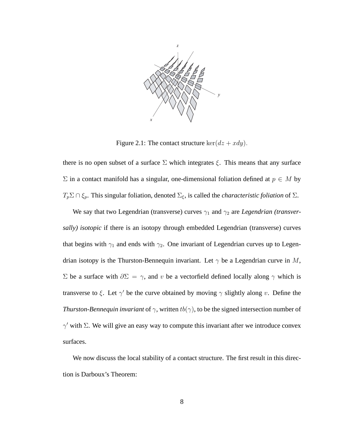

Figure 2.1: The contact structure  $\ker(dz + xdy)$ .

there is no open subset of a surface  $\Sigma$  which integrates  $\xi$ . This means that any surface  $\Sigma$  in a contact manifold has a singular, one-dimensional foliation defined at  $p \in M$  by  $T_p\Sigma \cap \xi_p$ . This singular foliation, denoted  $\Sigma_{\xi}$ , is called the *characteristic foliation* of  $\Sigma$ .

We say that two Legendrian (transverse) curves  $\gamma_1$  and  $\gamma_2$  are *Legendrian (transversally) isotopic* if there is an isotopy through embedded Legendrian (transverse) curves that begins with  $\gamma_1$  and ends with  $\gamma_2$ . One invariant of Legendrian curves up to Legendrian isotopy is the Thurston-Bennequin invariant. Let  $\gamma$  be a Legendrian curve in M, Σ be a surface with  $\partial Σ = γ$ , and v be a vectorfield defined locally along γ which is transverse to  $\xi$ . Let  $\gamma'$  be the curve obtained by moving  $\gamma$  slightly along v. Define the *Thurston-Bennequin invariant* of  $\gamma$ , written  $tb(\gamma)$ , to be the signed intersection number of  $\gamma'$  with  $\Sigma$ . We will give an easy way to compute this invariant after we introduce convex surfaces.

We now discuss the local stability of a contact structure. The first result in this direction is Darboux's Theorem: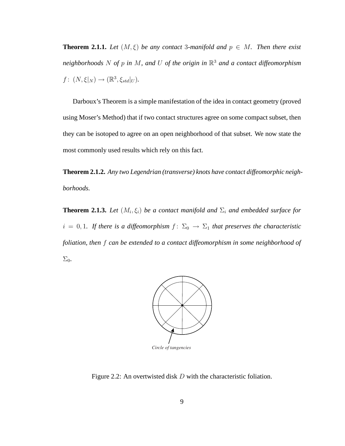**Theorem 2.1.1.** Let  $(M, \xi)$  be any contact 3-manifold and  $p \in M$ . Then there exist *neighborhoods* N *of* p *in* M*, and* U *of the origin in* R <sup>3</sup> *and a contact diffeomorphism*  $f: (N, \xi|_N) \rightarrow (\mathbb{R}^3, \xi_{std}|_U).$ 

Darboux's Theorem is a simple manifestation of the idea in contact geometry (proved using Moser's Method) that if two contact structures agree on some compact subset, then they can be isotoped to agree on an open neighborhood of that subset. We now state the most commonly used results which rely on this fact.

**Theorem 2.1.2.** *Any two Legendrian (transverse) knots have contact diffeomorphic neighborhoods.*

**Theorem 2.1.3.** Let  $(M_i, \xi_i)$  be a contact manifold and  $\Sigma_i$  and embedded surface for  $i = 0, 1$ *. If there is a diffeomorphism*  $f: \Sigma_0 \to \Sigma_1$  *that preserves the characteristic foliation, then* f *can be extended to a contact diffeomorphism in some neighborhood of*  $\Sigma_0$ .



Figure 2.2: An overtwisted disk D with the characteristic foliation.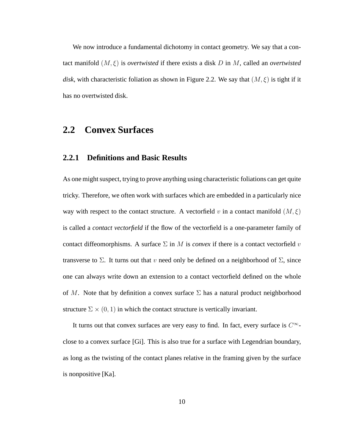We now introduce a fundamental dichotomy in contact geometry. We say that a contact manifold (M, ξ) is *overtwisted* if there exists a disk D in M, called an *overtwisted disk*, with characteristic foliation as shown in Figure 2.2. We say that  $(M, \xi)$  is tight if it has no overtwisted disk.

#### **2.2 Convex Surfaces**

#### **2.2.1 Definitions and Basic Results**

As one might suspect, trying to prove anything using characteristic foliations can get quite tricky. Therefore, we often work with surfaces which are embedded in a particularly nice way with respect to the contact structure. A vectorfield v in a contact manifold  $(M, \xi)$ is called a *contact vectorfield* if the flow of the vectorfield is a one-parameter family of contact diffeomorphisms. A surface  $\Sigma$  in M is *convex* if there is a contact vectorfield v transverse to  $\Sigma$ . It turns out that v need only be defined on a neighborhood of  $\Sigma$ , since one can always write down an extension to a contact vectorfield defined on the whole of M. Note that by definition a convex surface  $\Sigma$  has a natural product neighborhood structure  $\Sigma \times (0,1)$  in which the contact structure is vertically invariant.

It turns out that convex surfaces are very easy to find. In fact, every surface is  $C^{\infty}$ close to a convex surface [Gi]. This is also true for a surface with Legendrian boundary, as long as the twisting of the contact planes relative in the framing given by the surface is nonpositive [Ka].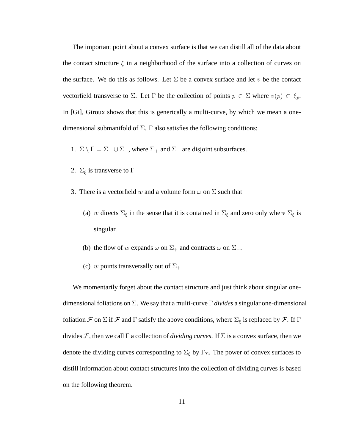The important point about a convex surface is that we can distill all of the data about the contact structure  $\xi$  in a neighborhood of the surface into a collection of curves on the surface. We do this as follows. Let  $\Sigma$  be a convex surface and let v be the contact vectorfield transverse to  $\Sigma$ . Let  $\Gamma$  be the collection of points  $p \in \Sigma$  where  $v(p) \subset \xi_p$ . In [Gi], Giroux shows that this is generically a multi-curve, by which we mean a onedimensional submanifold of  $\Sigma$ . Γ also satisfies the following conditions:

- 1.  $\Sigma \setminus \Gamma = \Sigma_+ \cup \Sigma_$ , where  $\Sigma_+$  and  $\Sigma_-$  are disjoint subsurfaces.
- 2.  $\Sigma_{\xi}$  is transverse to  $\Gamma$
- 3. There is a vectorfield w and a volume form  $\omega$  on  $\Sigma$  such that
	- (a) w directs  $\Sigma_{\xi}$  in the sense that it is contained in  $\Sigma_{\xi}$  and zero only where  $\Sigma_{\xi}$  is singular.
	- (b) the flow of w expands  $\omega$  on  $\Sigma_+$  and contracts  $\omega$  on  $\Sigma_-$ .
	- (c) w points transversally out of  $\Sigma_{+}$

We momentarily forget about the contact structure and just think about singular onedimensional foliations on Σ. We say that a multi-curve Γ *divides* a singular one-dimensional foliation  $\mathcal F$  on  $\Sigma$  if  $\mathcal F$  and  $\Gamma$  satisfy the above conditions, where  $\Sigma_\xi$  is replaced by  $\mathcal F$ . If  $\Gamma$ divides F, then we call  $\Gamma$  a collection of *dividing curves*. If  $\Sigma$  is a convex surface, then we denote the dividing curves corresponding to  $\Sigma_{\xi}$  by  $\Gamma_{\Sigma}$ . The power of convex surfaces to distill information about contact structures into the collection of dividing curves is based on the following theorem.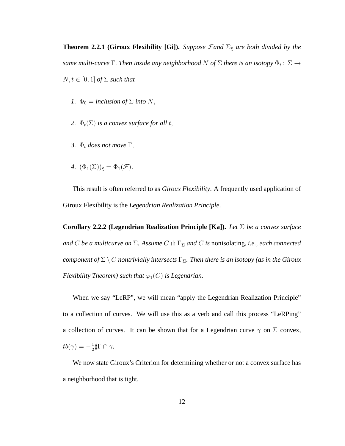**Theorem 2.2.1 (Giroux Flexibility [Gi]).** *Suppose Fand*  $\Sigma_{\xi}$  *are both divided by the same multi-curve*  $\Gamma$ *. Then inside any neighborhood*  $N$  *of*  $\Sigma$  *there is an isotopy*  $\Phi_t \colon \Sigma \to$  $N, t \in [0, 1]$  *of*  $\Sigma$  *such that* 

- *1.*  $\Phi_0 =$  *inclusion of*  $\Sigma$  *into*  $N$ ,
- *2.*  $\Phi_t(\Sigma)$  *is a convex surface for all t,*
- *3.*  $\Phi_t$  *does not move*  $\Gamma$ *,*
- *4.*  $(\Phi_1(\Sigma))_{\xi} = \Phi_1(\mathcal{F})$ .

This result is often referred to as *Giroux Flexibility*. A frequently used application of Giroux Flexibility is the *Legendrian Realization Principle*.

**Corollary 2.2.2 (Legendrian Realization Principle [Ka]).** *Let* Σ *be a convex surface and* C *be a multicurve on* Σ*. Assume* C ⋔ Γ<sup>Σ</sup> *and* C *is* nonisolating*, i.e., each connected component of*  $\Sigma \setminus C$  *nontrivially intersects*  $\Gamma_{\Sigma}$ *. Then there is an isotopy (as in the Giroux Flexibility Theorem) such that*  $\varphi_1(C)$  *is Legendrian.* 

When we say "LeRP", we will mean "apply the Legendrian Realization Principle" to a collection of curves. We will use this as a verb and call this process "LeRPing" a collection of curves. It can be shown that for a Legendrian curve  $\gamma$  on  $\Sigma$  convex,  $tb(\gamma) = -\frac{1}{2}$  $\frac{1}{2} \sharp \Gamma \cap \gamma$ .

We now state Giroux's Criterion for determining whether or not a convex surface has a neighborhood that is tight.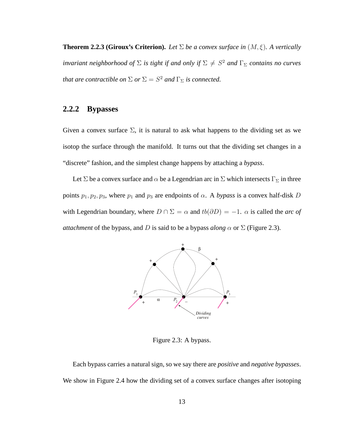**Theorem 2.2.3 (Giroux's Criterion).** *Let*  $\Sigma$  *be a convex surface in*  $(M, \xi)$ *. A vertically invariant neighborhood of*  $\Sigma$  *is tight if and only if*  $\Sigma \neq S^2$  *and*  $\Gamma_{\Sigma}$  *contains no curves that are contractible on*  $\Sigma$  *or*  $\Sigma = S^2$  *and*  $\Gamma_{\Sigma}$  *is connected.* 

#### **2.2.2 Bypasses**

Given a convex surface  $\Sigma$ , it is natural to ask what happens to the dividing set as we isotop the surface through the manifold. It turns out that the dividing set changes in a "discrete" fashion, and the simplest change happens by attaching a *bypass*.

Let  $\Sigma$  be a convex surface and  $\alpha$  be a Legendrian arc in  $\Sigma$  which intersects  $\Gamma_{\Sigma}$  in three points  $p_1$ ,  $p_2$ ,  $p_3$ , where  $p_1$  and  $p_3$  are endpoints of  $\alpha$ . A *bypass* is a convex half-disk D with Legendrian boundary, where  $D \cap \Sigma = \alpha$  and  $tb(\partial D) = -1$ .  $\alpha$  is called the *arc of attachment* of the bypass, and D is said to be a bypass *along*  $\alpha$  or  $\Sigma$  (Figure 2.3).



Figure 2.3: A bypass.

Each bypass carries a natural sign, so we say there are *positive* and *negative bypasses*. We show in Figure 2.4 how the dividing set of a convex surface changes after isotoping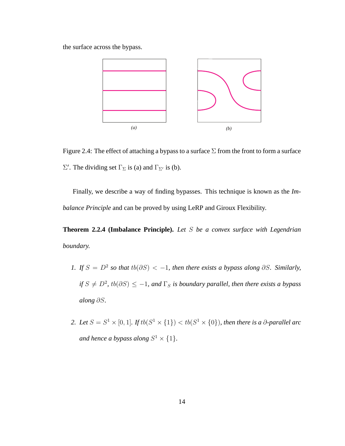the surface across the bypass.



Figure 2.4: The effect of attaching a bypass to a surface  $\Sigma$  from the front to form a surface  $\Sigma'$ . The dividing set  $\Gamma_{\Sigma}$  is (a) and  $\Gamma_{\Sigma'}$  is (b).

Finally, we describe a way of finding bypasses. This technique is known as the *Imbalance Principle* and can be proved by using LeRP and Giroux Flexibility.

**Theorem 2.2.4 (Imbalance Principle).** *Let* S *be a convex surface with Legendrian boundary.*

- *1. If*  $S = D^2$  so that  $tb(\partial S) < -1$ , then there exists a bypass along  $\partial S$ . Similarly,  $if S \neq D^2$ ,  $tb(\partial S) \leq -1$ , and  $\Gamma_S$  *is boundary parallel, then there exists a bypass along* ∂S*.*
- 2. Let  $S = S^1 \times [0,1]$ . If  $tb(S^1 \times \{1\}) < tb(S^1 \times \{0\})$ , then there is a  $\partial$ -parallel arc and hence a bypass along  $S^1 \times \{1\}$ .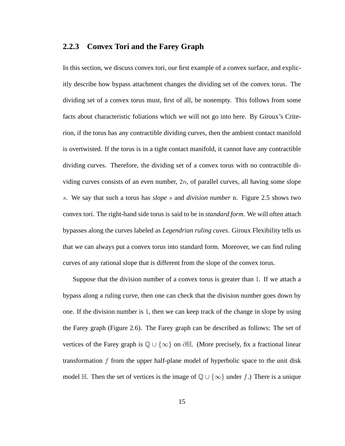#### **2.2.3 Convex Tori and the Farey Graph**

In this section, we discuss convex tori, our first example of a convex surface, and explicitly describe how bypass attachment changes the dividing set of the convex torus. The dividing set of a convex torus must, first of all, be nonempty. This follows from some facts about characteristic foliations which we will not go into here. By Giroux's Criterion, if the torus has any contractible dividing curves, then the ambient contact manifold is overtwisted. If the torus is in a tight contact manifold, it cannot have any contractible dividing curves. Therefore, the dividing set of a convex torus with no contractible dividing curves consists of an even number,  $2n$ , of parallel curves, all having some slope s. We say that such a torus has *slope* s and *division number* n. Figure 2.5 shows two convex tori. The right-hand side torus is said to be in *standard form*. We will often attach bypasses along the curves labeled as *Legendrian ruling cuves*. Giroux Flexibility tells us that we can always put a convex torus into standard form. Moreover, we can find ruling curves of any rational slope that is different from the slope of the convex torus.

Suppose that the division number of a convex torus is greater than 1. If we attach a bypass along a ruling curve, then one can check that the division number goes down by one. If the division number is 1, then we can keep track of the change in slope by using the Farey graph (Figure 2.6). The Farey graph can be described as follows: The set of vertices of the Farey graph is  $\mathbb{Q} \cup \{\infty\}$  on  $\partial \mathbb{H}$ . (More precisely, fix a fractional linear transformation f from the upper half-plane model of hyperbolic space to the unit disk model H. Then the set of vertices is the image of  $\mathbb{Q} \cup \{\infty\}$  under f.) There is a unique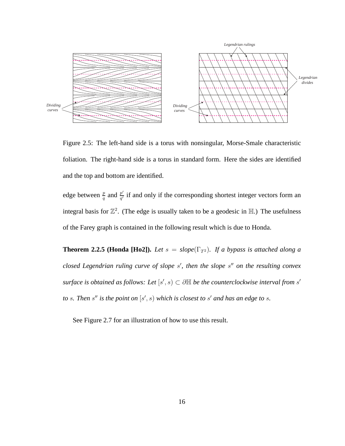

Figure 2.5: The left-hand side is a torus with nonsingular, Morse-Smale characteristic foliation. The right-hand side is a torus in standard form. Here the sides are identified and the top and bottom are identified.

edge between  $\frac{p}{q}$  and  $\frac{p'}{q'}$  $\frac{p'}{q'}$  if and only if the corresponding shortest integer vectors form an integral basis for  $\mathbb{Z}^2$ . (The edge is usually taken to be a geodesic in  $\mathbb{H}$ .) The usefulness of the Farey graph is contained in the following result which is due to Honda.

**Theorem 2.2.5 (Honda [Ho2]).** *Let*  $s = slope(\Gamma_T^2)$ *. If a bypass is attached along a closed Legendrian ruling curve of slope* s ′ *, then the slope* s ′′ *on the resulting convex*  $\mathit{surface}$  is obtained as follows: Let  $[s',s) \subset \partial \mathbb{H}$  be the counterclockwise interval from  $s'$ to s. Then s<sup>*n*</sup> is the point on  $[s', s)$  which is closest to s' and has an edge to s.

See Figure 2.7 for an illustration of how to use this result.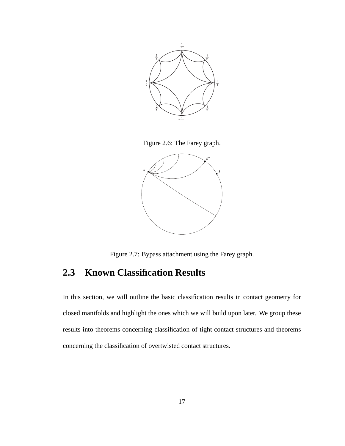

Figure 2.6: The Farey graph.



Figure 2.7: Bypass attachment using the Farey graph.

#### **2.3 Known Classification Results**

In this section, we will outline the basic classification results in contact geometry for closed manifolds and highlight the ones which we will build upon later. We group these results into theorems concerning classification of tight contact structures and theorems concerning the classification of overtwisted contact structures.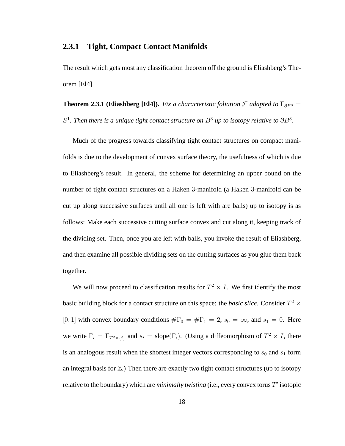#### **2.3.1 Tight, Compact Contact Manifolds**

The result which gets most any classification theorem off the ground is Eliashberg's Theorem [El4].

**Theorem 2.3.1 (Eliashberg [El4]).** *Fix a characteristic foliation*  $\mathcal F$  *adapted to*  $\Gamma_{\partial B^3}$  = S<sup>1</sup>. Then there is a unique tight contact structure on  $B^3$  up to isotopy relative to  $\partial B^3$ .

Much of the progress towards classifying tight contact structures on compact manifolds is due to the development of convex surface theory, the usefulness of which is due to Eliashberg's result. In general, the scheme for determining an upper bound on the number of tight contact structures on a Haken 3-manifold (a Haken 3-manifold can be cut up along successive surfaces until all one is left with are balls) up to isotopy is as follows: Make each successive cutting surface convex and cut along it, keeping track of the dividing set. Then, once you are left with balls, you invoke the result of Eliashberg, and then examine all possible dividing sets on the cutting surfaces as you glue them back together.

We will now proceed to classification results for  $T^2 \times I$ . We first identify the most basic building block for a contact structure on this space: the *basic slice*. Consider  $T^2 \times$ [0, 1] with convex boundary conditions  $\#\Gamma_0 = \#\Gamma_1 = 2$ ,  $s_0 = \infty$ , and  $s_1 = 0$ . Here we write  $\Gamma_i = \Gamma_{T^2 \times \{i\}}$  and  $s_i = \text{slope}(\Gamma_i)$ . (Using a diffeomorphism of  $T^2 \times I$ , there is an analogous result when the shortest integer vectors corresponding to  $s_0$  and  $s_1$  form an integral basis for  $\mathbb{Z}$ .) Then there are exactly two tight contact structures (up to isotopy relative to the boundary) which are *minimally twisting* (i.e., every convex torus  $T'$  isotopic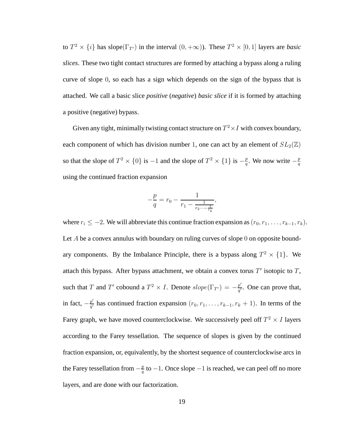to  $T^2 \times \{i\}$  has slope( $\Gamma_{T'}$ ) in the interval  $(0, +\infty)$ ). These  $T^2 \times [0, 1]$  layers are *basic slices*. These two tight contact structures are formed by attaching a bypass along a ruling curve of slope 0, so each has a sign which depends on the sign of the bypass that is attached. We call a basic slice *positive* (*negative*) *basic slice* if it is formed by attaching a positive (negative) bypass.

Given any tight, minimally twisting contact structure on  $T^2 \times I$  with convex boundary, each component of which has division number 1, one can act by an element of  $SL_2(\mathbb{Z})$ so that the slope of  $T^2 \times \{0\}$  is  $-1$  and the slope of  $T^2 \times \{1\}$  is  $-\frac{p}{q}$  $\frac{p}{q}$ . We now write  $-\frac{p}{q}$ q using the continued fraction expansion

$$
-\frac{p}{q} = r_0 - \frac{1}{r_1 - \frac{1}{r_2 \cdots - \frac{1}{r_k}}},
$$

where  $r_i \le -2$ . We will abbreviate this continue fraction expansion as  $(r_0, r_1, \ldots, r_{k-1}, r_k)$ . Let  $A$  be a convex annulus with boundary on ruling curves of slope 0 on opposite boundary components. By the Imbalance Principle, there is a bypass along  $T^2 \times \{1\}$ . We attach this bypass. After bypass attachment, we obtain a convex torus  $T'$  isotopic to  $T$ , such that T and T' cobound a  $T^2 \times I$ . Denote  $slope(\Gamma_{T'}) = -\frac{p'}{q'}$  $\frac{p'}{q'}$ . One can prove that, in fact,  $-\frac{p'}{q'}$  $\frac{p'}{q'}$  has continued fraction expansion  $(r_0, r_1, \ldots, r_{k-1}, r_k + 1)$ . In terms of the Farey graph, we have moved counterclockwise. We successively peel off  $T^2 \times I$  layers according to the Farey tessellation. The sequence of slopes is given by the continued fraction expansion, or, equivalently, by the shortest sequence of counterclockwise arcs in the Farey tessellation from  $-\frac{p}{q}$  $\frac{p}{q}$  to  $-1$ . Once slope  $-1$  is reached, we can peel off no more layers, and are done with our factorization.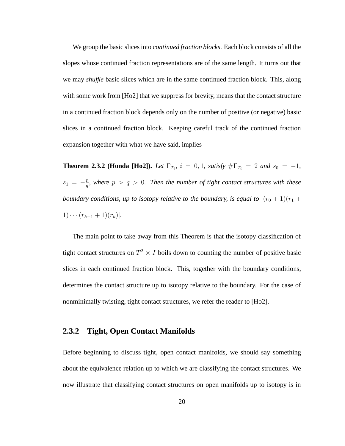We group the basic slices into *continued fraction blocks*. Each block consists of all the slopes whose continued fraction representations are of the same length. It turns out that we may *shuffle* basic slices which are in the same continued fraction block. This, along with some work from [Ho2] that we suppress for brevity, means that the contact structure in a continued fraction block depends only on the number of positive (or negative) basic slices in a continued fraction block. Keeping careful track of the continued fraction expansion together with what we have said, implies

**Theorem 2.3.2 (Honda [Ho2]).** *Let*  $\Gamma_{T_i}$ ,  $i = 0, 1$ , *satisfy*  $\#\Gamma_{T_i} = 2$  *and*  $s_0 = -1$ ,  $s_1 = -\frac{p}{q}$  $\frac{p}{q}$ , where  $p > q > 0$ . Then the number of tight contact structures with these *boundary conditions, up to isotopy relative to the boundary, is equal to*  $|(r_0 + 1)(r_1 +$ 1)  $\cdots (r_{k-1} + 1)(r_k)$ |.

The main point to take away from this Theorem is that the isotopy classification of tight contact structures on  $T^2 \times I$  boils down to counting the number of positive basic slices in each continued fraction block. This, together with the boundary conditions, determines the contact structure up to isotopy relative to the boundary. For the case of nonminimally twisting, tight contact structures, we refer the reader to [Ho2].

#### **2.3.2 Tight, Open Contact Manifolds**

Before beginning to discuss tight, open contact manifolds, we should say something about the equivalence relation up to which we are classifying the contact structures. We now illustrate that classifying contact structures on open manifolds up to isotopy is in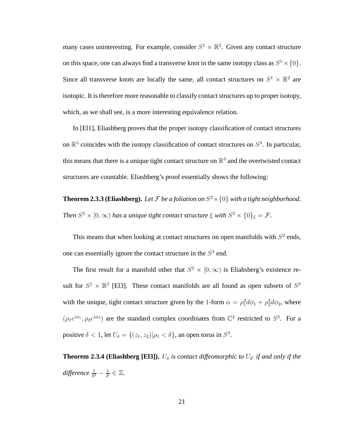many cases uninteresting. For example, consider  $S^1 \times \mathbb{R}^2$ . Given any contact structure on this space, one can always find a transverse knot in the same isotopy class as  $S^1 \times \{0\}$ . Since all transverse knots are locally the same, all contact structures on  $S^1 \times \mathbb{R}^2$  are isotopic. It is therefore more reasonable to classify contact structures up to proper isotopy, which, as we shall see, is a more interesting equivalence relation.

In [El1], Eliashberg proves that the proper isotopy classification of contact structures on  $\mathbb{R}^3$  coincides with the isotopy classification of contact structures on  $S^3$ . In particular, this means that there is a unique tight contact structure on  $\mathbb{R}^3$  and the overtwisted contact structures are countable. Eliashberg's proof essentially shows the following:

**Theorem 2.3.3 (Eliashberg).** Let  $\mathcal{F}$  be a foliation on  $S^2 \times \{0\}$  with a tight neighborhood. *Then*  $S^2 \times [0, \infty)$  *has a unique tight contact structure*  $\xi$  *with*  $S^2 \times \{0\}_\xi = \mathcal{F}$ .

This means that when looking at contact structures on open manifolds with  $S<sup>2</sup>$  ends, one can essentially ignore the contact structure in the  $S<sup>2</sup>$  end.

The first result for a manifold other that  $S^2 \times [0, \infty)$  is Eliahsberg's existence result for  $S^1 \times \mathbb{R}^2$  [El3]. These contact manifolds are all found as open subsets of  $S^3$ with the unique, tight contact structure given by the 1-form  $\alpha = \rho_1^2 d\phi_1 + \rho_2^2 d\phi_2$ , where  $(\rho_1 e^{i\phi_1}, \rho_2 e^{i\phi_2})$  are the standard complex coordinates from  $\mathbb{C}^2$  restricted to  $S^3$ . For a positive  $\delta < 1$ , let  $U_{\delta} = \{(z_1, z_2) | \rho_1 < \delta\}$ , an open torus in  $S^3$ .

**Theorem 2.3.4 (Eliashberg [El3]).**  $U_{\delta}$  is contact diffeomorphic to  $U_{\delta'}$  if and only if the  $difference \frac{1}{\delta^2} - \frac{1}{\delta'}$  $\frac{1}{\delta'} \in \mathbb{Z}$ .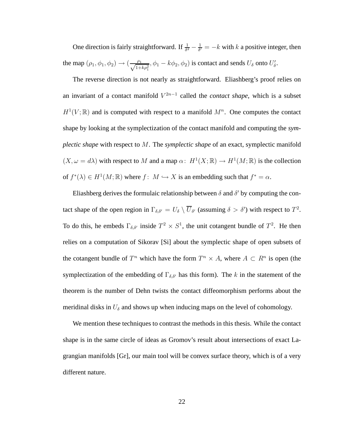One direction is fairly straightforward. If  $\frac{1}{\delta^2} - \frac{1}{\delta^0}$  $\frac{1}{\delta'} = -k$  with k a positive integer, then the map  $(\rho_1, \phi_1, \phi_2) \rightarrow (\frac{\rho_1}{\sqrt{1+\rho_2}})$  $\frac{\rho_1}{1+k\rho_1^2}$ ,  $\phi_1 - k\phi_2$ ,  $\phi_2$ ) is contact and sends  $U_\delta$  onto  $U'_\delta$ .

The reverse direction is not nearly as straightforward. Eliashberg's proof relies on an invariant of a contact manifold  $V^{2n-1}$  called the *contact shape*, which is a subset  $H^1(V;\mathbb{R})$  and is computed with respect to a manifold  $M^n$ . One computes the contact shape by looking at the symplectization of the contact manifold and computing the *symplectic shape* with respect to M. The *symplectic shape* of an exact, symplectic manifold  $(X, \omega = d\lambda)$  with respect to M and a map  $\alpha: H^1(X; \mathbb{R}) \to H^1(M; \mathbb{R})$  is the collection of  $f^*(\lambda) \in H^1(M; \mathbb{R})$  where  $f: M \hookrightarrow X$  is an embedding such that  $f^* = \alpha$ .

Eliashberg derives the formulaic relationship between  $\delta$  and  $\delta'$  by computing the contact shape of the open region in  $\Gamma_{\delta,\delta'} = U_{\delta} \setminus \overline{U}_{\delta'}$  (assuming  $\delta > \delta'$ ) with respect to  $T^2$ . To do this, he embeds  $\Gamma_{\delta,\delta'}$  inside  $T^2 \times S^1$ , the unit cotangent bundle of  $T^2$ . He then relies on a computation of Sikorav [Si] about the symplectic shape of open subsets of the cotangent bundle of  $T^n$  which have the form  $T^n \times A$ , where  $A \subset R^n$  is open (the symplectization of the embedding of  $\Gamma_{\delta,\delta'}$  has this form). The k in the statement of the theorem is the number of Dehn twists the contact diffeomorphism performs about the meridinal disks in  $U_{\delta}$  and shows up when inducing maps on the level of cohomology.

We mention these techniques to contrast the methods in this thesis. While the contact shape is in the same circle of ideas as Gromov's result about intersections of exact Lagrangian manifolds [Gr], our main tool will be convex surface theory, which is of a very different nature.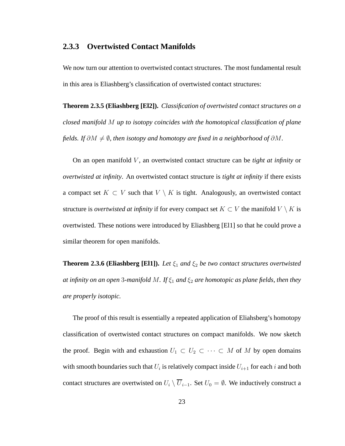#### **2.3.3 Overtwisted Contact Manifolds**

We now turn our attention to overtwisted contact structures. The most fundamental result in this area is Eliashberg's classification of overtwisted contact structures:

**Theorem 2.3.5 (Eliashberg [El2]).** *Classification of overtwisted contact structures on a closed manifold* M *up to isotopy coincides with the homotopical classification of plane fields. If*  $\partial M \neq \emptyset$ , then isotopy and homotopy are fixed in a neighborhood of  $\partial M$ .

On an open manifold V , an overtwisted contact structure can be *tight at infinity* or *overtwisted at infinity*. An overtwisted contact structure is *tight at infinity* if there exists a compact set  $K \subset V$  such that  $V \setminus K$  is tight. Analogously, an overtwisted contact structure is *overtwisted at infinity* if for every compact set  $K \subset V$  the manifold  $V \setminus K$  is overtwisted. These notions were introduced by Eliashberg [El1] so that he could prove a similar theorem for open manifolds.

**Theorem 2.3.6 (Eliashberg [El1]).** *Let*  $\xi_1$  *and*  $\xi_2$  *be two contact structures overtwisted at infinity on an open* 3-manifold M. If  $\xi_1$  *and*  $\xi_2$  *are homotopic as plane fields, then they are properly isotopic.*

The proof of this result is essentially a repeated application of Eliahsberg's homotopy classification of overtwisted contact structures on compact manifolds. We now sketch the proof. Begin with and exhaustion  $U_1 \subset U_2 \subset \cdots \subset M$  of M by open domains with smooth boundaries such that  $U_i$  is relatively compact inside  $U_{i+1}$  for each i and both contact structures are overtwisted on  $U_i \setminus \overline{U}_{i-1}$ . Set  $U_0 = \emptyset$ . We inductively construct a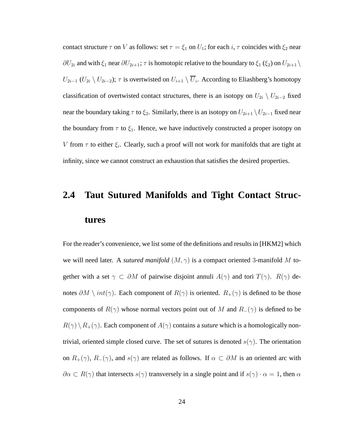contact structure  $\tau$  on V as follows: set  $\tau = \xi_1$  on  $U_1$ ; for each  $i$ ,  $\tau$  coincides with  $\xi_2$  near  $\partial U_{2i}$  and with  $\xi_1$  near  $\partial U_{2i+1}$ ;  $\tau$  is homotopic relative to the boundary to  $\xi_1$  ( $\xi_2$ ) on  $U_{2i+1}$  $U_{2i-1}$  ( $U_{2i} \setminus U_{2i-2}$ );  $\tau$  is overtwisted on  $U_{i+1} \setminus U_i$ . According to Eliashberg's homotopy classification of overtwisted contact structures, there is an isotopy on  $U_{2i} \setminus U_{2i-2}$  fixed near the boundary taking  $\tau$  to  $\xi_2$ . Similarly, there is an isotopy on  $U_{2i+1} \setminus U_{2i-1}$  fixed near the boundary from  $\tau$  to  $\xi_1$ . Hence, we have inductively constructed a proper isotopy on V from  $\tau$  to either  $\xi_i$ . Clearly, such a proof will not work for manifolds that are tight at infinity, since we cannot construct an exhaustion that satisfies the desired properties.

# **2.4 Taut Sutured Manifolds and Tight Contact Structures**

For the reader's convenience, we list some of the definitions and results in [HKM2] which we will need later. A *sutured manifold*  $(M, \gamma)$  is a compact oriented 3-manifold M together with a set  $\gamma \subset \partial M$  of pairwise disjoint annuli  $A(\gamma)$  and tori  $T(\gamma)$ .  $R(\gamma)$  denotes  $\partial M \setminus int(\gamma)$ . Each component of  $R(\gamma)$  is oriented.  $R_+(\gamma)$  is defined to be those components of  $R(\gamma)$  whose normal vectors point out of M and  $R_-(\gamma)$  is defined to be  $R(\gamma) \setminus R_+(\gamma)$ . Each component of  $A(\gamma)$  contains a *suture* which is a homologically nontrivial, oriented simple closed curve. The set of sutures is denoted  $s(\gamma)$ . The orientation on  $R_+(\gamma)$ ,  $R_-(\gamma)$ , and  $s(\gamma)$  are related as follows. If  $\alpha \subset \partial M$  is an oriented arc with  $\partial \alpha \subset R(\gamma)$  that intersects  $s(\gamma)$  transversely in a single point and if  $s(\gamma) \cdot \alpha = 1$ , then  $\alpha$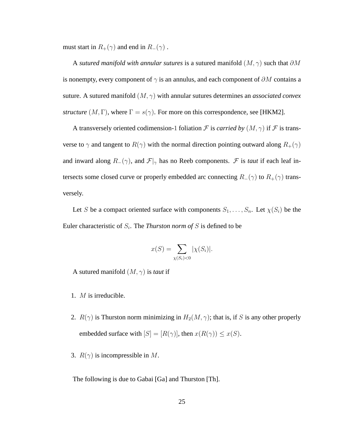must start in  $R_+(\gamma)$  and end in  $R_-(\gamma)$ .

A *sutured manifold with annular sutures* is a sutured manifold  $(M, \gamma)$  such that  $\partial M$ is nonempty, every component of  $\gamma$  is an annulus, and each component of  $\partial M$  contains a suture. A sutured manifold  $(M, \gamma)$  with annular sutures determines an *associated convex structure*  $(M, \Gamma)$ , where  $\Gamma = s(\gamma)$ . For more on this correspondence, see [HKM2].

A transversely oriented codimension-1 foliation F is *carried by*  $(M, \gamma)$  if F is transverse to  $\gamma$  and tangent to  $R(\gamma)$  with the normal direction pointing outward along  $R_+(\gamma)$ and inward along  $R_-(\gamma)$ , and  $\mathcal{F}|_{\gamma}$  has no Reeb components.  $\mathcal F$  is *taut* if each leaf intersects some closed curve or properly embedded arc connecting  $R_-(\gamma)$  to  $R_+(\gamma)$  transversely.

Let S be a compact oriented surface with components  $S_1, \ldots, S_n$ . Let  $\chi(S_i)$  be the Euler characteristic of  $S_i$ . The *Thurston norm of*  $S$  is defined to be

$$
x(S) = \sum_{\chi(S_i) < 0} |\chi(S_i)|.
$$

A sutured manifold  $(M, \gamma)$  is *taut* if

- 1. M is irreducible.
- 2.  $R(\gamma)$  is Thurston norm minimizing in  $H_2(M, \gamma)$ ; that is, if S is any other properly embedded surface with  $[S] = [R(\gamma)]$ , then  $x(R(\gamma)) \le x(S)$ .
- 3.  $R(\gamma)$  is incompressible in M.

The following is due to Gabai [Ga] and Thurston [Th].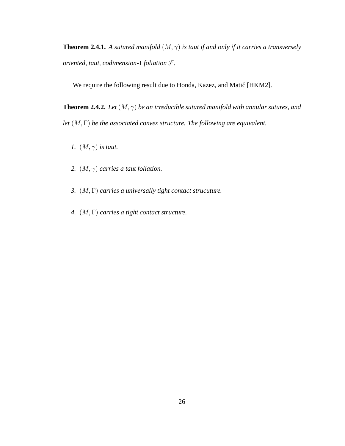**Theorem 2.4.1.** *A sutured manifold*  $(M, \gamma)$  *is taut if and only if it carries a transversely oriented, taut, codimension-*1 *foliation* F*.*

We require the following result due to Honda, Kazez, and Matić [HKM2].

**Theorem 2.4.2.** *Let*  $(M, \gamma)$  *be an irreducible sutured manifold with annular sutures, and let* (M, Γ) *be the associated convex structure. The following are equivalent.*

- *1.* (M, γ) *is taut.*
- *2.* (M, γ) *carries a taut foliation.*
- *3.* (M, Γ) *carries a universally tight contact strucuture.*
- *4.* (M, Γ) *carries a tight contact structure.*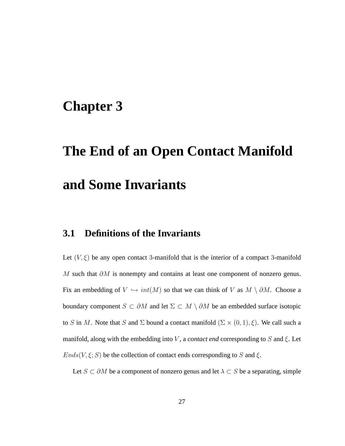## **Chapter 3**

# **The End of an Open Contact Manifold and Some Invariants**

#### **3.1 Definitions of the Invariants**

Let  $(V, \xi)$  be any open contact 3-manifold that is the interior of a compact 3-manifold M such that  $\partial M$  is nonempty and contains at least one component of nonzero genus. Fix an embedding of  $V \hookrightarrow int(M)$  so that we can think of V as  $M \setminus \partial M$ . Choose a boundary component  $S \subset \partial M$  and let  $\Sigma \subset M \setminus \partial M$  be an embedded surface isotopic to S in M. Note that S and  $\Sigma$  bound a contact manifold  $(\Sigma \times (0,1), \xi)$ . We call such a manifold, along with the embedding into V , a *contact end* corresponding to S and ξ. Let  $Ends(V, \xi; S)$  be the collection of contact ends corresponding to S and  $\xi$ .

Let  $S \subset \partial M$  be a component of nonzero genus and let  $\lambda \subset S$  be a separating, simple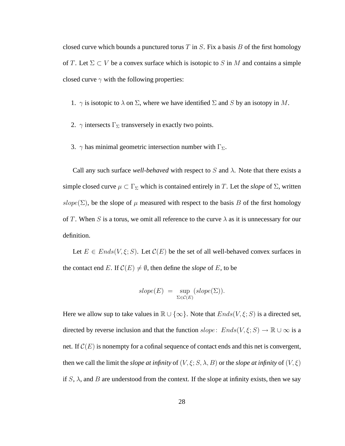closed curve which bounds a punctured torus  $T$  in  $S$ . Fix a basis  $B$  of the first homology of T. Let  $\Sigma \subset V$  be a convex surface which is isotopic to S in M and contains a simple closed curve  $\gamma$  with the following properties:

- 1.  $\gamma$  is isotopic to  $\lambda$  on  $\Sigma$ , where we have identified  $\Sigma$  and S by an isotopy in M.
- 2.  $\gamma$  intersects  $\Gamma_{\Sigma}$  transversely in exactly two points.
- 3.  $\gamma$  has minimal geometric intersection number with  $\Gamma_{\Sigma}$ .

Call any such surface *well-behaved* with respect to S and  $\lambda$ . Note that there exists a simple closed curve  $\mu \subset \Gamma_{\Sigma}$  which is contained entirely in T. Let the *slope* of  $\Sigma$ , written slope( $\Sigma$ ), be the slope of  $\mu$  measured with respect to the basis B of the first homology of T. When S is a torus, we omit all reference to the curve  $\lambda$  as it is unnecessary for our definition.

Let  $E \in Ends(V, \xi; S)$ . Let  $C(E)$  be the set of all well-behaved convex surfaces in the contact end E. If  $\mathcal{C}(E) \neq \emptyset$ , then define the *slope* of E, to be

$$
slope(E) = \sup_{\Sigma \in \mathcal{C}(E)}(slope(\Sigma)).
$$

Here we allow sup to take values in  $\mathbb{R} \cup \{\infty\}$ . Note that  $Ends(V, \xi; S)$  is a directed set, directed by reverse inclusion and that the function  $slope:$   $Ends(V, \xi; S) \rightarrow \mathbb{R} \cup \infty$  is a net. If  $\mathcal{C}(E)$  is nonempty for a cofinal sequence of contact ends and this net is convergent, then we call the limit the *slope at infinity* of  $(V, \xi; S, \lambda, B)$  or the *slope at infinity* of  $(V, \xi)$ if  $S$ ,  $\lambda$ , and  $B$  are understood from the context. If the slope at infinity exists, then we say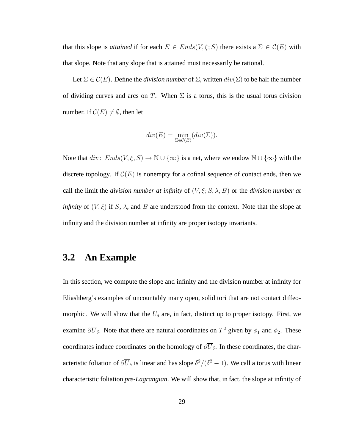that this slope is *attained* if for each  $E \in$  Ends(V,  $\xi$ ; S) there exists a  $\Sigma \in C(E)$  with that slope. Note that any slope that is attained must necessarily be rational.

Let  $\Sigma \in \mathcal{C}(E)$ . Define the *division number* of  $\Sigma$ , written  $div(\Sigma)$  to be half the number of dividing curves and arcs on T. When  $\Sigma$  is a torus, this is the usual torus division number. If  $\mathcal{C}(E) \neq \emptyset$ , then let

$$
div(E)=\min_{\Sigma\in\mathcal{C}(E)}(div(\Sigma)).
$$

Note that  $div$ :  $Ends(V, \xi, S) \rightarrow \mathbb{N} \cup {\infty}$  is a net, where we endow  $\mathbb{N} \cup {\infty}$  with the discrete topology. If  $\mathcal{C}(E)$  is nonempty for a cofinal sequence of contact ends, then we call the limit the *division number at infinity* of  $(V, \xi; S, \lambda, B)$  or the *division number at infinity* of  $(V, \xi)$  if S,  $\lambda$ , and B are understood from the context. Note that the slope at infinity and the division number at infinity are proper isotopy invariants.

#### **3.2 An Example**

In this section, we compute the slope and infinity and the division number at infinity for Eliashberg's examples of uncountably many open, solid tori that are not contact diffeomorphic. We will show that the  $U_{\delta}$  are, in fact, distinct up to proper isotopy. First, we examine  $\partial \overline{U}_{\delta}$ . Note that there are natural coordinates on  $T^2$  given by  $\phi_1$  and  $\phi_2$ . These coordinates induce coordinates on the homology of  $\partial \overline{U}_{\delta}$ . In these coordinates, the characteristic foliation of  $\partial \overline{U}_{\delta}$  is linear and has slope  $\delta^2/(\delta^2 - 1)$ . We call a torus with linear characteristic foliation *pre-Lagrangian*. We will show that, in fact, the slope at infinity of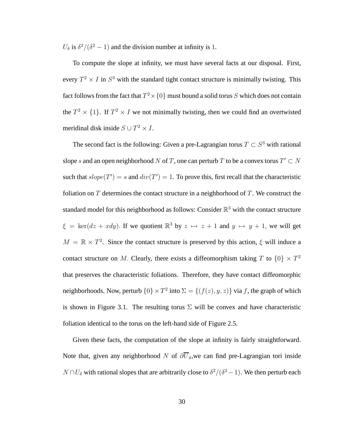$U_{\delta}$  is  $\delta^2/(\delta^2 - 1)$  and the division number at infinity is 1.

To compute the slope at infinity, we must have several facts at our disposal. First, every  $T^2 \times I$  in  $S^3$  with the standard tight contact structure is minimally twisting. This fact follows from the fact that  $T^2 \times \{0\}$  must bound a solid torus  $S$  which does not contain the  $T^2 \times \{1\}$ . If  $T^2 \times I$  we not minimally twisting, then we could find an overtwisted meridinal disk inside  $S \cup T^2 \times I$ .

The second fact is the following: Given a pre-Lagrangian torus  $T \subset S^3$  with rational slope s and an open neighborhood  $N$  of  $T$ , one can perturb  $T$  to be a convex torus  $T' \subset N$ such that  $slope(T') = s$  and  $div(T') = 1$ . To prove this, first recall that the characteristic foliation on  $T$  determines the contact structure in a neighborhood of  $T$ . We construct the standard model for this neighborhood as follows: Consider  $\mathbb{R}^3$  with the contact structure  $\xi = \ker(dz + xdy)$ . If we quotient  $\mathbb{R}^3$  by  $z \mapsto z + 1$  and  $y \mapsto y + 1$ , we will get  $M = \mathbb{R} \times T^2$ . Since the contact structure is preserved by this action,  $\xi$  will induce a contact structure on M. Clearly, there exists a diffeomorphism taking T to  $\{0\} \times T^2$ that preserves the characteristic foliations. Therefore, they have contact diffeomorphic neighborhoods. Now, perturb  $\{0\} \times T^2$  into  $\Sigma = \{(f(z), y, z)\}$  via f, the graph of which is shown in Figure 3.1. The resulting torus  $\Sigma$  will be convex and have characteristic foliation identical to the torus on the left-hand side of Figure 2.5.

Given these facts, the computation of the slope at infinity is fairly straightforward. Note that, given any neighborhood N of  $\partial \overline{U}_{\delta}$ , we can find pre-Lagrangian tori inside  $N \cap U_{\delta}$  with rational slopes that are arbitrarily close to  $\delta^2/(\delta^2 - 1)$ . We then perturb each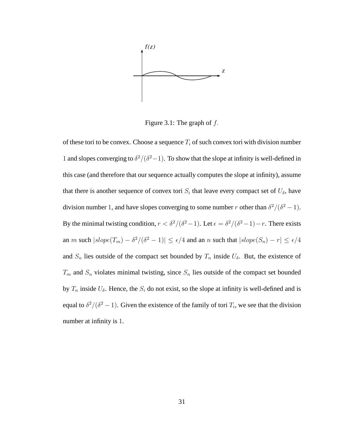

Figure 3.1: The graph of  $f$ .

of these tori to be convex. Choose a sequence  $T_i$  of such convex tori with division number 1 and slopes converging to  $\delta^2/(\delta^2-1)$ . To show that the slope at infinity is well-defined in this case (and therefore that our sequence actually computes the slope at infinity), assume that there is another sequence of convex tori  $S_i$  that leave every compact set of  $U_{\delta}$ , have division number 1, and have slopes converging to some number r other than  $\delta^2/(\delta^2 - 1)$ . By the minimal twisting condition,  $r < \delta^2/(\delta^2 - 1)$ . Let  $\epsilon = \delta^2/(\delta^2 - 1) - r$ . There exists an m such  $|slope(T_m) - \delta^2/(\delta^2 - 1)| \le \epsilon/4$  and an n such that  $|slope(S_n) - r| \le \epsilon/4$ and  $S_n$  lies outside of the compact set bounded by  $T_n$  inside  $U_\delta$ . But, the existence of  $T_m$  and  $S_n$  violates minimal twisting, since  $S_n$  lies outside of the compact set bounded by  $T_n$  inside  $U_\delta$ . Hence, the  $S_i$  do not exist, so the slope at infinity is well-defined and is equal to  $\delta^2/(\delta^2 - 1)$ . Given the existence of the family of tori  $T_i$ , we see that the division number at infinity is 1.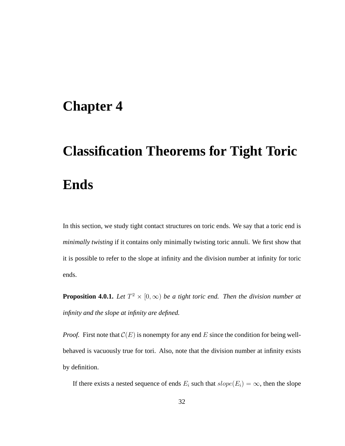#### **Chapter 4**

# **Classification Theorems for Tight Toric Ends**

In this section, we study tight contact structures on toric ends. We say that a toric end is *minimally twisting* if it contains only minimally twisting toric annuli. We first show that it is possible to refer to the slope at infinity and the division number at infinity for toric ends.

**Proposition 4.0.1.** Let  $T^2 \times [0, \infty)$  be a tight toric end. Then the division number at *infinity and the slope at infinity are defined.*

*Proof.* First note that  $\mathcal{C}(E)$  is nonempty for any end E since the condition for being wellbehaved is vacuously true for tori. Also, note that the division number at infinity exists by definition.

If there exists a nested sequence of ends  $E_i$  such that  $slope(E_i) = \infty$ , then the slope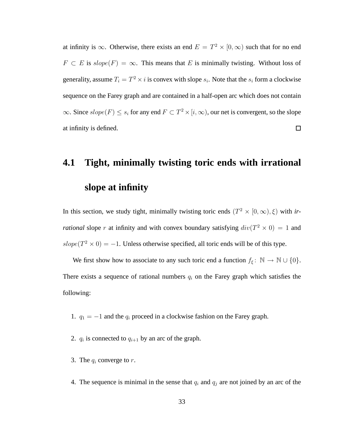at infinity is  $\infty$ . Otherwise, there exists an end  $E = T^2 \times [0, \infty)$  such that for no end  $F \subset E$  is  $slope(F) = \infty$ . This means that E is minimally twisting. Without loss of generality, assume  $T_i = T^2 \times i$  is convex with slope  $s_i$ . Note that the  $s_i$  form a clockwise sequence on the Farey graph and are contained in a half-open arc which does not contain  $\infty$ . Since  $slope(F) \leq s_i$  for any end  $F \subset T^2 \times [i, \infty)$ , our net is convergent, so the slope at infinity is defined.  $\Box$ 

# **4.1 Tight, minimally twisting toric ends with irrational slope at infinity**

In this section, we study tight, minimally twisting toric ends  $(T^2 \times [0, \infty), \xi)$  with *irrational* slope r at infinity and with convex boundary satisfying  $div(T^2 \times 0) = 1$  and  $slope(T^2 \times 0) = -1$ . Unless otherwise specified, all toric ends will be of this type.

We first show how to associate to any such toric end a function  $f_{\xi} \colon \mathbb{N} \to \mathbb{N} \cup \{0\}.$ There exists a sequence of rational numbers  $q_i$  on the Farey graph which satisfies the following:

- 1.  $q_1 = -1$  and the  $q_i$  proceed in a clockwise fashion on the Farey graph.
- 2.  $q_i$  is connected to  $q_{i+1}$  by an arc of the graph.
- 3. The  $q_i$  converge to r.
- 4. The sequence is minimal in the sense that  $q_i$  and  $q_j$  are not joined by an arc of the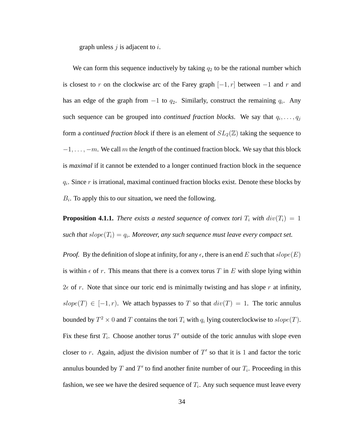graph unless  $i$  is adjacent to  $i$ .

We can form this sequence inductively by taking  $q_2$  to be the rational number which is closest to r on the clockwise arc of the Farey graph  $[-1, r]$  between  $-1$  and r and has an edge of the graph from  $-1$  to  $q_2$ . Similarly, construct the remaining  $q_i$ . Any such sequence can be grouped into *continued fraction blocks*. We say that  $q_i, \ldots, q_j$ form a *continued fraction block* if there is an element of  $SL_2(\mathbb{Z})$  taking the sequence to  $-1, \ldots, -m$ . We call m the *length* of the continued fraction block. We say that this block is *maximal* if it cannot be extended to a longer continued fraction block in the sequence  $q_i$ . Since r is irrational, maximal continued fraction blocks exist. Denote these blocks by  $B_i$ . To apply this to our situation, we need the following.

**Proposition 4.1.1.** *There exists a nested sequence of convex tori*  $T_i$  *with*  $div(T_i) = 1$  $such that slope(T<sub>i</sub>) = q<sub>i</sub>$ . Moreover, any such sequence must leave every compact set.

*Proof.* By the definition of slope at infinity, for any  $\epsilon$ , there is an end E such that  $slope(E)$ is within  $\epsilon$  of r. This means that there is a convex torus T in E with slope lying within  $2\epsilon$  of r. Note that since our toric end is minimally twisting and has slope r at infinity, slope(T)  $\in$  [-1, r). We attach bypasses to T so that  $div(T) = 1$ . The toric annulus bounded by  $T^2 \times 0$  and T contains the tori  $T_i$  with  $q_i$  lying couterclockwise to  $slope(T)$ . Fix these first  $T_i$ . Choose another torus  $T'$  outside of the toric annulus with slope even closer to r. Again, adjust the division number of  $T'$  so that it is 1 and factor the toric annulus bounded by T and T' to find another finite number of our  $T_i$ . Proceeding in this fashion, we see we have the desired sequence of  $T_i$ . Any such sequence must leave every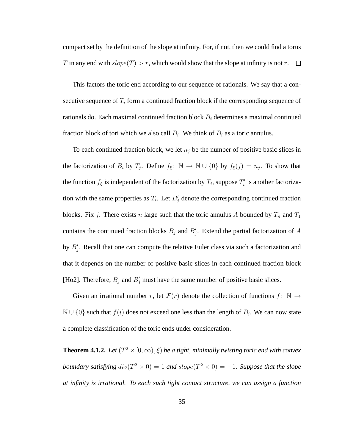compact set by the definition of the slope at infinity. For, if not, then we could find a torus T in any end with  $slope(T) > r$ , which would show that the slope at infinity is not r.  $\Box$ 

This factors the toric end according to our sequence of rationals. We say that a consecutive sequence of  $T_i$  form a continued fraction block if the corresponding sequence of rationals do. Each maximal continued fraction block  $B_i$  determines a maximal continued fraction block of tori which we also call  $B_i$ . We think of  $B_i$  as a toric annulus.

To each continued fraction block, we let  $n_j$  be the number of positive basic slices in the factorization of  $B_i$  by  $T_j$ . Define  $f_{\xi} \colon \mathbb{N} \to \mathbb{N} \cup \{0\}$  by  $f_{\xi}(j) = n_j$ . To show that the function  $f_{\xi}$  is independent of the factorization by  $T_i$ , suppose  $T'_i$  is another factorization with the same properties as  $T_i$ . Let  $B'_j$  denote the corresponding continued fraction blocks. Fix j. There exists n large such that the toric annulus A bounded by  $T_n$  and  $T_1$ contains the continued fraction blocks  $B_j$  and  $B'_j$ . Extend the partial factorization of A by  $B'_{j}$ . Recall that one can compute the relative Euler class via such a factorization and that it depends on the number of positive basic slices in each continued fraction block [Ho2]. Therefore,  $B_j$  and  $B'_j$  must have the same number of positive basic slices.

Given an irrational number r, let  $\mathcal{F}(r)$  denote the collection of functions  $f: \mathbb{N} \to$  $\mathbb{N} \cup \{0\}$  such that  $f(i)$  does not exceed one less than the length of  $B_i$ . We can now state a complete classification of the toric ends under consideration.

**Theorem 4.1.2.** Let  $(T^2 \times [0, \infty), \xi)$  be a tight, minimally twisting toric end with convex *boundary satisfying*  $div(T^2 \times 0) = 1$  *and slope* $(T^2 \times 0) = -1$ *. Suppose that the slope at infinity is irrational. To each such tight contact structure, we can assign a function*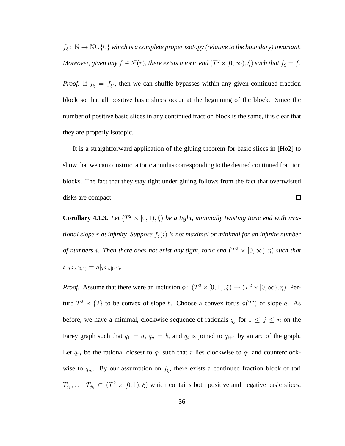$f_{\xi}$ :  $\mathbb{N} \to \mathbb{N} \cup \{0\}$  *which is a complete proper isotopy (relative to the boundary) invariant. Moreover, given any*  $f \in \mathcal{F}(r)$ *, there exists a toric end*  $(T^2 \times [0, \infty), \xi)$  *such that*  $f_{\xi} = f$ *.* 

*Proof.* If  $f_{\xi} = f_{\xi'}$ , then we can shuffle bypasses within any given continued fraction block so that all positive basic slices occur at the beginning of the block. Since the number of positive basic slices in any continued fraction block is the same, it is clear that they are properly isotopic.

It is a straightforward application of the gluing theorem for basic slices in [Ho2] to show that we can construct a toric annulus corresponding to the desired continued fraction blocks. The fact that they stay tight under gluing follows from the fact that overtwisted disks are compact.  $\Box$ 

**Corollary 4.1.3.** Let  $(T^2 \times [0,1), \xi)$  be a tight, minimally twisting toric end with irra*tional slope* r *at infinity. Suppose*  $f_{\xi}(i)$  *is not maximal or minimal for an infinite number of numbers i. Then there does not exist any tight, toric end*  $(T^2 \times [0, \infty), \eta)$  *such that*  $\xi|_{T^2\times[0,1)} = \eta|_{T^2\times[0,1)}$ .

*Proof.* Assume that there were an inclusion  $\phi$ :  $(T^2 \times [0, 1), \xi) \rightarrow (T^2 \times [0, \infty), \eta)$ . Perturb  $T^2 \times \{2\}$  to be convex of slope *b*. Choose a convex torus  $\phi(T')$  of slope *a*. As before, we have a minimal, clockwise sequence of rationals  $q_j$  for  $1 \leq j \leq n$  on the Farey graph such that  $q_1 = a$ ,  $q_n = b$ , and  $q_i$  is joined to  $q_{i+1}$  by an arc of the graph. Let  $q_m$  be the rational closest to  $q_1$  such that r lies clockwise to  $q_1$  and counterclockwise to  $q_m$ . By our assumption on  $f_\xi$ , there exists a continued fraction block of tori  $T_{j_1}, \ldots, T_{j_k} \subset (T^2 \times [0, 1), \xi)$  which contains both positive and negative basic slices.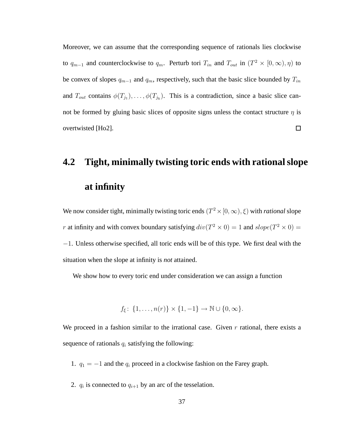Moreover, we can assume that the corresponding sequence of rationals lies clockwise to  $q_{m-1}$  and counterclockwise to  $q_m$ . Perturb tori  $T_{in}$  and  $T_{out}$  in  $(T^2 \times [0, \infty), \eta)$  to be convex of slopes  $q_{m-1}$  and  $q_m$ , respectively, such that the basic slice bounded by  $T_{in}$ and  $T_{out}$  contains  $\phi(T_{j_1}), \ldots, \phi(T_{j_k})$ . This is a contradiction, since a basic slice cannot be formed by gluing basic slices of opposite signs unless the contact structure  $\eta$  is overtwisted [Ho2].  $\Box$ 

# **4.2 Tight, minimally twisting toric ends with rational slope at infinity**

We now consider tight, minimally twisting toric ends  $(T^2 \times [0, \infty), \xi)$  with *rational* slope r at infinity and with convex boundary satisfying  $div(T^2 \times 0) = 1$  and  $slope(T^2 \times 0) =$ −1. Unless otherwise specified, all toric ends will be of this type. We first deal with the situation when the slope at infinity is *not* attained.

We show how to every toric end under consideration we can assign a function

$$
f_{\xi}
$$
: {1,...,  $n(r)$ } × {1, -1}  $\rightarrow$  N  $\cup$  {0,  $\infty$ }.

We proceed in a fashion similar to the irrational case. Given  $r$  rational, there exists a sequence of rationals  $q_i$  satisfying the following:

- 1.  $q_1 = -1$  and the  $q_i$  proceed in a clockwise fashion on the Farey graph.
- 2.  $q_i$  is connected to  $q_{i+1}$  by an arc of the tesselation.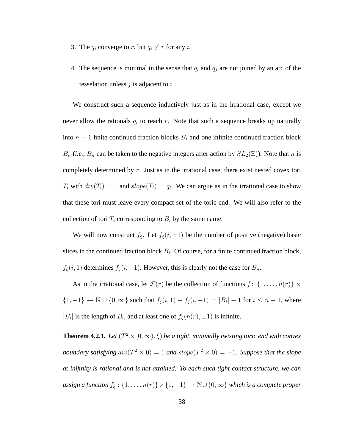- 3. The  $q_i$  converge to r, but  $q_i \neq r$  for any i.
- 4. The sequence is minimal in the sense that  $q_i$  and  $q_j$  are not joined by an arc of the tesselation unless  $i$  is adjacent to  $i$ .

We construct such a sequence inductively just as in the irrational case, except we never allow the rationals  $q_i$  to reach r. Note that such a sequence breaks up naturally into  $n-1$  finite continued fraction blocks  $B_i$  and one infinite continued fraction block  $B_n$  (*i.e.*,  $B_n$  can be taken to the negative integers after action by  $SL_2(\mathbb{Z})$ ). Note that n is completely determined by  $r$ . Just as in the irrational case, there exist nested covex tori  $T_i$  with  $div(T_i) = 1$  and  $slope(T_i) = q_i$ . We can argue as in the irrational case to show that these tori must leave every compact set of the toric end. We will also refer to the collection of tori  $T_i$  corresponding to  $B_i$  by the same name.

We will now construct  $f_{\xi}$ . Let  $f_{\xi}(i, \pm 1)$  be the number of positive (negative) basic slices in the continued fraction block  $B_i$ . Of course, for a finite continued fraction block,  $f_{\xi}(i,1)$  determines  $f_{\xi}(i,-1)$ . However, this is clearly not the case for  $B_n$ .

As in the irrational case, let  $\mathcal{F}(r)$  be the collection of functions  $f: \{1, \ldots, n(r)\} \times$  $\{1, -1\} \to \mathbb{N} \cup \{0, \infty\}$  such that  $f_{\xi}(i, 1) + f_{\xi}(i, -1) = |B_i| - 1$  for  $i \leq n - 1$ , where  $|B_i|$  is the length of  $B_i$ , and at least one of  $f_{\xi}(n(r), \pm 1)$  is infinite.

**Theorem 4.2.1.** Let  $(T^2 \times [0, \infty), \xi)$  be a tight, minimally twisting toric end with convex *boundary satisfying*  $div(T^2 \times 0) = 1$  *and slope* $(T^2 \times 0) = -1$ *. Suppose that the slope at inifinity is rational and is not attained. To each such tight contact structure, we can assign a function*  $f_{\xi}$  :  $\{1, \ldots, n(r)\}\times\{1, -1\} \rightarrow \mathbb{N}\cup\{0, \infty\}$  *which is a complete proper*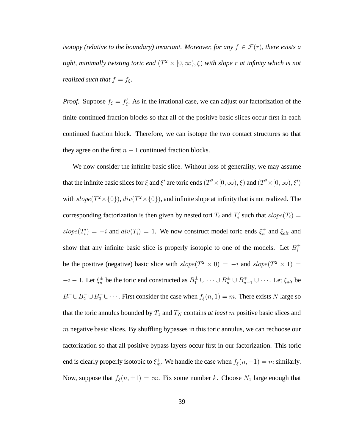*isotopy (relative to the boundary) invariant. Moreover, for any*  $f \in \mathcal{F}(r)$ *, there exists a* tight, minimally twisting toric end  $(T^2\times [0,\infty),\xi)$  with slope  $r$  at infinity which is not *realized such that*  $f = f_{\xi}$ *.* 

*Proof.* Suppose  $f_{\xi} = f'_{\xi}$ . As in the irrational case, we can adjust our factorization of the finite continued fraction blocks so that all of the positive basic slices occur first in each continued fraction block. Therefore, we can isotope the two contact structures so that they agree on the first  $n - 1$  continued fraction blocks.

We now consider the infinite basic slice. Without loss of generality, we may assume that the infinite basic slices for  $\xi$  and  $\xi'$  are toric ends  $(T^2\times [0,\infty),\xi)$  and  $(T^2\times [0,\infty),\xi')$ with  $slope(T^2 \times \{0\})$ ,  $div(T^2 \times \{0\})$ , and infinite slope at infinity that is not realized. The corresponding factorization is then given by nested tori  $T_i$  and  $T'_i$  such that  $slope(T_i) =$  $slope(T_i') = -i$  and  $div(T_i) = 1$ . We now construct model toric ends  $\xi_n^{\pm}$  and  $\xi_{alt}$  and show that any infinite basic slice is properly isotopic to one of the models. Let  $B_i^{\pm}$ be the positive (negative) basic slice with  $slope(T^2 \times 0) = -i$  and  $slope(T^2 \times 1) =$  $-i-1$ . Let  $\xi_n^{\pm}$  be the toric end constructed as  $B_1^{\pm} \cup \cdots \cup B_n^{\pm} \cup B_{n+1}^{\mp} \cup \cdots$ . Let  $\xi_{alt}$  be  $B_1^+ \cup B_2^- \cup B_3^+ \cup \cdots$ . First consider the case when  $f_{\xi}(n, 1) = m$ . There exists N large so that the toric annulus bounded by  $T_1$  and  $T_N$  contains *at least* m positive basic slices and  $m$  negative basic slices. By shuffling bypasses in this toric annulus, we can rechoose our factorization so that all positive bypass layers occur first in our factorization. This toric end is clearly properly isotopic to  $\xi_m^+$ . We handle the case when  $f_{\xi}(n, -1) = m$  similarly. Now, suppose that  $f_{\xi}(n, \pm 1) = \infty$ . Fix some number k. Choose  $N_1$  large enough that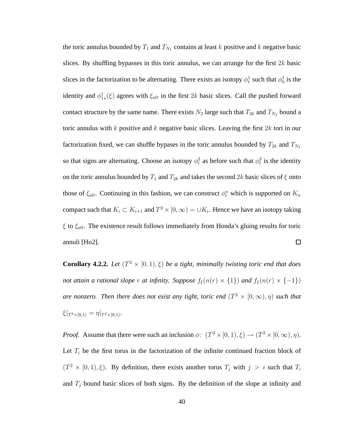the toric annulus bounded by  $T_1$  and  $T_{N_1}$  contains at least k positive and k negative basic slices. By shuffling bypasses in this toric annulus, we can arrange for the first  $2k$  basic slices in the factorization to be alternating. There exists an isotopy  $\phi_t^1$  such that  $\phi_0^1$  is the identity and  $\phi_{1*}^1(\xi)$  agrees with  $\xi_{alt}$  in the first 2k basic slices. Call the pushed forward contact structure by the same name. There exists  $N_2$  large such that  $T_{2k}$  and  $T_{N_2}$  bound a toric annulus with k positive and k negative basic slices. Leaving the first  $2k$  tori in our factorization fixed, we can shuffle bypases in the toric annulus bounded by  $T_{2k}$  and  $T_{N_2}$ so that signs are alternating. Choose an isotopy  $\phi_t^2$  as before such that  $\phi_t^2$  is the identity on the toric annulus bounded by  $T_1$  and  $T_{2k}$  and takes the second  $2k$  basic slices of  $\xi$  onto those of  $\xi_{alt}$ . Continuing in this fashion, we can construct  $\phi_t^n$  which is supported on  $K_n$ compact such that  $K_i \subset K_{i+1}$  and  $T^2 \times [0, \infty) = \cup K_i$ . Hence we have an isotopy taking  $\xi$  to  $\xi_{alt}$ . The existence result follows immediately from Honda's gluing results for toric  $\Box$ annuli [Ho2].

**Corollary 4.2.2.** *Let*  $(T^2 \times [0, 1), \xi)$  *be a tight, minimally twisting toric end that does not attain a rational slope* r *at infinity. Suppose*  $f_{\xi}(n(r) \times \{1\})$  *and*  $f_{\xi}(n(r) \times \{-1\})$ *are nonzero. Then there does not exist any tight, toric end*  $(T^2 \times [0, \infty), \eta)$  *such that*  $\xi|_{T^2\times[0,1)} = \eta|_{T^2\times[0,1)}$ .

*Proof.* Assume that there were such an inclusion  $\phi: (T^2 \times [0, 1), \xi) \to (T^2 \times [0, \infty), \eta)$ . Let  $T_i$  be the first torus in the factorization of the infinite continued fraction block of  $(T^2 \times [0, 1), \xi)$ . By definition, there exists another torus  $T_j$  with  $j > i$  such that  $T_i$ and  $T_j$  bound basic slices of both signs. By the definition of the slope at infinity and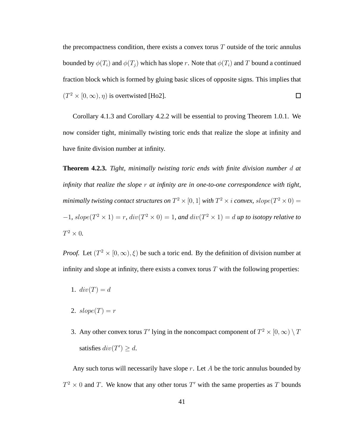the precompactness condition, there exists a convex torus  $T$  outside of the toric annulus bounded by  $\phi(T_i)$  and  $\phi(T_i)$  which has slope r. Note that  $\phi(T_i)$  and T bound a continued fraction block which is formed by gluing basic slices of opposite signs. This implies that  $(T^2 \times [0, \infty), \eta)$  is overtwisted [Ho2].  $\Box$ 

Corollary 4.1.3 and Corollary 4.2.2 will be essential to proving Theorem 1.0.1. We now consider tight, minimally twisting toric ends that realize the slope at infinity and have finite division number at infinity.

**Theorem 4.2.3.** *Tight, minimally twisting toric ends with finite division number* d *at infinity that realize the slope* r *at infinity are in one-to-one correspondence with tight,* minimally twisting contact structures on  $T^2\times [0,1]$  with  $T^2\times i$  convex,  $slope(T^2\times 0)=$  $-1$ *, slope*( $T^2 \times 1$ ) = r,  $div(T^2 \times 0) = 1$ *, and*  $div(T^2 \times 1) = d$  *up to isotopy relative to*  $T^2 \times 0$ .

*Proof.* Let  $(T^2 \times [0, \infty), \xi)$  be such a toric end. By the definition of division number at infinity and slope at infinity, there exists a convex torus  $T$  with the following properties:

- 1.  $div(T) = d$
- 2.  $slope(T) = r$
- 3. Any other convex torus T' lying in the noncompact component of  $T^2 \times [0, \infty) \setminus T$ satisfies  $div(T') \geq d$ .

Any such torus will necessarily have slope  $r$ . Let  $A$  be the toric annulus bounded by  $T^2 \times 0$  and T. We know that any other torus T' with the same properties as T bounds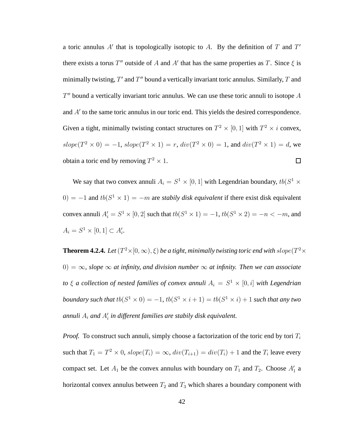a toric annulus  $A'$  that is topologically isotopic to A. By the definition of T and  $T'$ there exists a torus  $T''$  outside of A and A' that has the same properties as T. Since  $\xi$  is minimally twisting,  $T'$  and  $T''$  bound a vertically invariant toric annulus. Similarly,  $T$  and  $T''$  bound a vertically invariant toric annulus. We can use these toric annuli to isotope  $A$ and A′ to the same toric annulus in our toric end. This yields the desired correspondence. Given a tight, minimally twisting contact structures on  $T^2 \times [0,1]$  with  $T^2 \times i$  convex,  $slope(T^2 \times 0) = -1, slope(T^2 \times 1) = r, div(T^2 \times 0) = 1, and div(T^2 \times 1) = d$ , we obtain a toric end by removing  $T^2 \times 1$ .  $\Box$ 

We say that two convex annuli  $A_i = S^1 \times [0, 1]$  with Legendrian boundary,  $tb(S^1 \times$ 0) =  $-1$  and  $tb(S^1 \times 1)$  =  $-m$  are *stabily disk equivalent* if there exist disk equivalent convex annuli  $A'_i = S^1 \times [0,2]$  such that  $tb(S^1 \times 1) = -1$ ,  $tb(S^1 \times 2) = -n < -m$ , and  $A_i = S^1 \times [0,1] \subset A'_i.$ 

**Theorem 4.2.4.** Let  $(T^2\times [0,\infty),\xi)$  be a tight, minimally twisting toric end with  $slope(T^2\times$ 0) =  $\infty$ , slope  $\infty$  at infinity, and division number  $\infty$  at infinity. Then we can associate to  $\xi$  a collection of nested families of convex annuli  $A_i = S^1 \times [0, i]$  with Legendrian *boundary such that*  $tb(S^1 \times 0) = -1$ ,  $tb(S^1 \times i + 1) = tb(S^1 \times i) + 1$  *such that any two* annuli  $A_i$  and  $A'_i$  in different families are stabily disk equivalent.

*Proof.* To construct such annuli, simply choose a factorization of the toric end by tori  $T_i$ such that  $T_1 = T^2 \times 0$ ,  $slope(T_i) = \infty$ ,  $div(T_{i+1}) = div(T_i) + 1$  and the  $T_i$  leave every compact set. Let  $A_1$  be the convex annulus with boundary on  $T_1$  and  $T_2$ . Choose  $A'_1$  a horizontal convex annulus between  $T_2$  and  $T_3$  which shares a boundary component with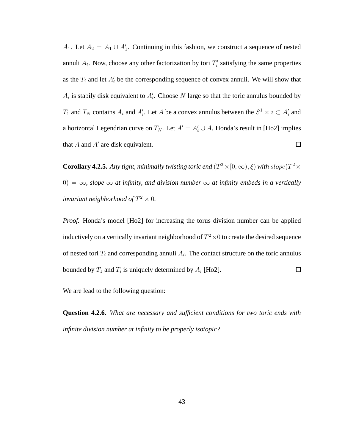A<sub>1</sub>. Let  $A_2 = A_1 \cup A'_1$ . Continuing in this fashion, we construct a sequence of nested annuli  $A_i$ . Now, choose any other factorization by tori  $T_i'$  satisfying the same properties as the  $T_i$  and let  $A'_i$  be the corresponding sequence of convex annuli. We will show that  $A_i$  is stabily disk equivalent to  $A'_i$ . Choose N large so that the toric annulus bounded by  $T_1$  and  $T_N$  contains  $A_i$  and  $A'_i$ . Let A be a convex annulus between the  $S^1 \times i \subset A'_i$  and a horizontal Legendrian curve on  $T_N$ . Let  $A' = A'_i \cup A$ . Honda's result in [Ho2] implies that  $A$  and  $A'$  are disk equivalent.  $\Box$ 

**Corollary 4.2.5.** *Any tight, minimally twisting toric end*  $(T^2 \times [0, \infty), \xi)$  *with slope* $(T^2 \times$ 0) =  $\infty$ , slope  $\infty$  at infinity, and division number  $\infty$  at infinity embeds in a vertically *invariant neighborhood of*  $T^2 \times 0$ .

*Proof.* Honda's model [Ho2] for increasing the torus division number can be applied inductively on a vertically invariant neighborhood of  $T^2 \times 0$  to create the desired sequence of nested tori  $T_i$  and corresponding annuli  $A_i$ . The contact structure on the toric annulus  $\Box$ bounded by  $T_1$  and  $T_i$  is uniquely determined by  $A_i$  [Ho2].

We are lead to the following question:

**Question 4.2.6.** *What are necessary and sufficient conditions for two toric ends with infinite division number at infinity to be properly isotopic?*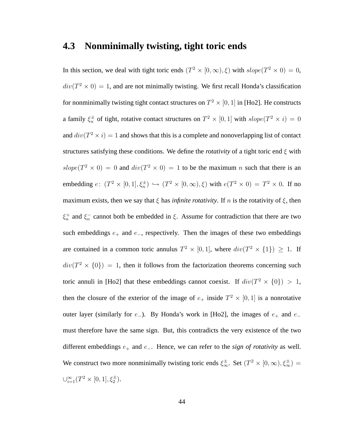#### **4.3 Nonminimally twisting, tight toric ends**

In this section, we deal with tight toric ends  $(T^2 \times [0, \infty), \xi)$  with  $slope(T^2 \times 0) = 0$ ,  $div(T^2 \times 0) = 1$ , and are not minimally twisting. We first recall Honda's classification for nonminimally twisting tight contact structures on  $T^2 \times [0,1]$  in [Ho2]. He constructs a family  $\xi_n^{\pm}$  of tight, rotative contact structures on  $T^2 \times [0,1]$  with  $slope(T^2 \times i) = 0$ and  $div(T^2 \times i) = 1$  and shows that this is a complete and nonoverlapping list of contact structures satisfying these conditions. We define the *rotativity* of a tight toric end ξ with  $slope(T^2 \times 0) = 0$  and  $div(T^2 \times 0) = 1$  to be the maximum *n* such that there is an embedding  $e: (T^2 \times [0,1], \xi_n^{\pm}) \hookrightarrow (T^2 \times [0,\infty), \xi)$  with  $e(T^2 \times 0) = T^2 \times 0$ . If no maximum exists, then we say that  $\xi$  has *infinite rotativity*. If n is the rotativity of  $\xi$ , then  $\xi_n^+$  and  $\xi_n^-$  cannot both be embedded in  $\xi$ . Assume for contradiction that there are two such embeddings  $e_+$  and  $e_-,$  respectively. Then the images of these two embeddings are contained in a common toric annulus  $T^2 \times [0,1]$ , where  $div(T^2 \times \{1\}) \geq 1$ . If  $div(T^2 \times \{0\}) = 1$ , then it follows from the factorization theorems concerning such toric annuli in [Ho2] that these embeddings cannot coexist. If  $div(T^2 \times \{0\}) > 1$ , then the closure of the exterior of the image of  $e_+$  inside  $T^2 \times [0,1]$  is a nonrotative outer layer (similarly for  $e_$ ). By Honda's work in [Ho2], the images of  $e_+$  and  $e_$ must therefore have the same sign. But, this contradicts the very existence of the two different embeddings e<sup>+</sup> and e−. Hence, we can refer to the *sign of rotativity* as well. We construct two more nonminimally twisting toric ends  $\xi_{\infty}^{\pm}$ . Set  $(T^2 \times [0, \infty), \xi_{\infty}^{\pm})$  =  $\cup_{i=1}^{\infty} (T^2 \times [0,1], \xi_2^{\pm}).$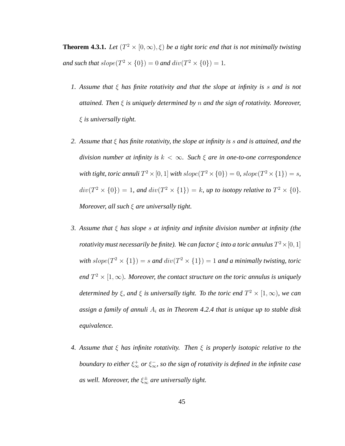**Theorem 4.3.1.** *Let*  $(T^2 \times [0, \infty), \xi)$  *be a tight toric end that is not minimally twisting and such that*  $slope(T^2 \times {0}) = 0$  *and*  $div(T^2 \times {0}) = 1$ *.* 

- *1. Assume that* ξ *has finite rotativity and that the slope at infinity is* s *and is not attained. Then* ξ *is uniquely determined by* n *and the sign of rotativity. Moreover,* ξ *is universally tight.*
- *2. Assume that* ξ *has finite rotativity, the slope at infinity is* s *and is attained, and the division number at infinity is* k < ∞*. Such* ξ *are in one-to-one correspondence* with tight, toric annuli  $T^2 \times [0, 1]$  with  $slope(T^2 \times \{0\}) = 0$ ,  $slope(T^2 \times \{1\}) = s$ ,  $div(T^2 \times \{0\}) = 1$ , and  $div(T^2 \times \{1\}) = k$ , up to isotopy relative to  $T^2 \times \{0\}$ . *Moreover, all such* ξ *are universally tight.*
- *3. Assume that* ξ *has slope* s *at infinity and infinite division number at infinity (the rotativity must necessarily be finite). We can factor*  $\xi$  *into a toric annulus*  $T^2 \times [0,1]$ with  $slope(T^2 \times \{1\}) = s$  and  $div(T^2 \times \{1\}) = 1$  and a minimally twisting, toric end  $T^2\times [1,\infty)$ *. Moreover, the contact structure on the toric annulus is uniquely* determined by  $\xi$ , and  $\xi$  is universally tight. To the toric end  $T^2 \times [1,\infty)$ , we can *assign a family of annuli* A<sup>i</sup> *as in Theorem 4.2.4 that is unique up to stable disk equivalence.*
- *4. Assume that* ξ *has infinite rotativity. Then* ξ *is properly isotopic relative to the* boundary to either  $\xi_{\infty}^{+}$  or  $\xi_{\infty}^{-}$ , so the sign of rotativity is defined in the infinite case as well. Moreover, the  $\xi_{\infty}^{\pm}$  are universally tight.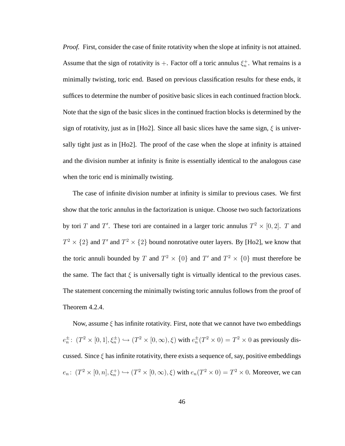*Proof.* First, consider the case of finite rotativity when the slope at infinity is not attained. Assume that the sign of rotativity is  $+$ . Factor off a toric annulus  $\xi_n^+$ . What remains is a minimally twisting, toric end. Based on previous classification results for these ends, it suffices to determine the number of positive basic slices in each continued fraction block. Note that the sign of the basic slices in the continued fraction blocks is determined by the sign of rotativity, just as in [Ho2]. Since all basic slices have the same sign,  $\xi$  is universally tight just as in [Ho2]. The proof of the case when the slope at infinity is attained and the division number at infinity is finite is essentially identical to the analogous case when the toric end is minimally twisting.

The case of infinite division number at infinity is similar to previous cases. We first show that the toric annulus in the factorization is unique. Choose two such factorizations by tori T and T'. These tori are contained in a larger toric annulus  $T^2 \times [0,2]$ . T and  $T^2 \times \{2\}$  and  $T'$  and  $T^2 \times \{2\}$  bound nonrotative outer layers. By [Ho2], we know that the toric annuli bounded by T and  $T^2 \times \{0\}$  and  $T'$  and  $T^2 \times \{0\}$  must therefore be the same. The fact that  $\xi$  is universally tight is virtually identical to the previous cases. The statement concerning the minimally twisting toric annulus follows from the proof of Theorem 4.2.4.

Now, assume  $\xi$  has infinite rotativity. First, note that we cannot have two embeddings  $e_n^{\pm}$ :  $(T^2 \times [0,1], \xi_n^{\pm}) \hookrightarrow (T^2 \times [0,\infty), \xi)$  with  $e_n^{\pm}(T^2 \times 0) = T^2 \times 0$  as previously discussed. Since  $\xi$  has infinite rotativity, there exists a sequence of, say, positive embeddings  $e_n: (T^2 \times [0, n], \xi_n^+) \hookrightarrow (T^2 \times [0, \infty), \xi)$  with  $e_n(T^2 \times 0) = T^2 \times 0$ . Moreover, we can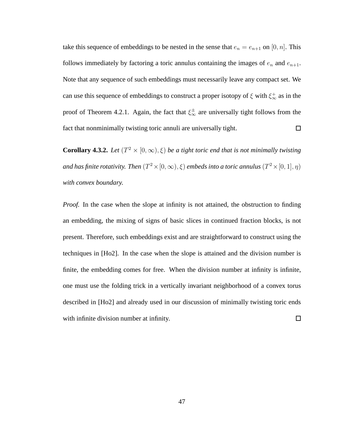take this sequence of embeddings to be nested in the sense that  $e_n = e_{n+1}$  on [0, n]. This follows immediately by factoring a toric annulus containing the images of  $e_n$  and  $e_{n+1}$ . Note that any sequence of such embeddings must necessarily leave any compact set. We can use this sequence of embeddings to construct a proper isotopy of  $\xi$  with  $\xi_{\infty}^{+}$  as in the proof of Theorem 4.2.1. Again, the fact that  $\xi_{\infty}^{\pm}$  are universally tight follows from the fact that nonminimally twisting toric annuli are universally tight.  $\Box$ 

**Corollary 4.3.2.** *Let*  $(T^2 \times [0, \infty), \xi)$  *be a tight toric end that is not minimally twisting* and has finite rotativity. Then  $(T^2\times [0,\infty),\xi)$  embeds into a toric annulus  $(T^2\times [0,1],\eta)$ *with convex boundary.*

*Proof.* In the case when the slope at infinity is not attained, the obstruction to finding an embedding, the mixing of signs of basic slices in continued fraction blocks, is not present. Therefore, such embeddings exist and are straightforward to construct using the techniques in [Ho2]. In the case when the slope is attained and the division number is finite, the embedding comes for free. When the division number at infinity is infinite, one must use the folding trick in a vertically invariant neighborhood of a convex torus described in [Ho2] and already used in our discussion of minimally twisting toric ends with infinite division number at infinity.  $\Box$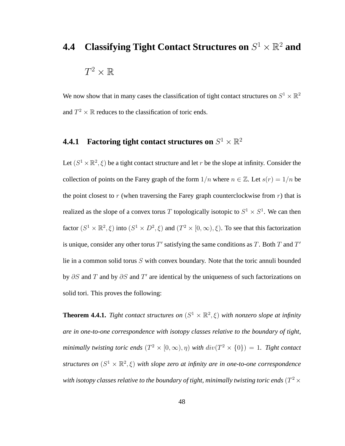# **4.4** Classifying Tight Contact Structures on  $S^1 \times \mathbb{R}^2$  and  $T^2 \times \mathbb{R}$

We now show that in many cases the classification of tight contact structures on  $S^1 \times \mathbb{R}^2$ and  $T^2 \times \mathbb{R}$  reduces to the classification of toric ends.

### **4.4.1** Factoring tight contact structures on  $S^1 \times \mathbb{R}^2$

Let  $(S^1 \times \mathbb{R}^2, \xi)$  be a tight contact structure and let r be the slope at infinity. Consider the collection of points on the Farey graph of the form  $1/n$  where  $n \in \mathbb{Z}$ . Let  $s(r) = 1/n$  be the point closest to r (when traversing the Farey graph counterclockwise from  $r$ ) that is realized as the slope of a convex torus T topologically isotopic to  $S^1 \times S^1$ . We can then factor  $(S^1 \times \mathbb{R}^2, \xi)$  into  $(S^1 \times D^2, \xi)$  and  $(T^2 \times [0, \infty), \xi)$ . To see that this factorization is unique, consider any other torus  $T'$  satisfying the same conditions as T. Both T and  $T'$ lie in a common solid torus  $S$  with convex boundary. Note that the toric annuli bounded by  $\partial S$  and  $T$  and by  $\partial S$  and  $T'$  are identical by the uniqueness of such factorizations on solid tori. This proves the following:

**Theorem 4.4.1.** *Tight contact structures on*  $(S^1 \times \mathbb{R}^2, \xi)$  *with nonzero slope at infinity are in one-to-one correspondence with isotopy classes relative to the boundary of tight, minimally twisting toric ends*  $(T^2 \times [0, \infty), \eta)$  *with*  $div(T^2 \times \{0\}) = 1$ *. Tight contact* structures on  $(S^1 \times \mathbb{R}^2, \xi)$  with slope zero at infinity are in one-to-one correspondence with isotopy classes relative to the boundary of tight, minimally twisting toric ends  $(T^2\times$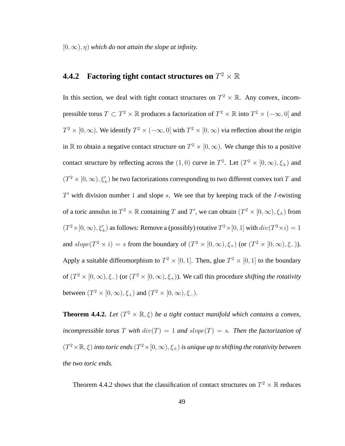$[0, \infty)$ ,  $\eta$ ) which do not attain the slope at infinity.

### **4.4.2** Factoring tight contact structures on  $T^2 \times \mathbb{R}$

In this section, we deal with tight contact structures on  $T^2 \times \mathbb{R}$ . Any convex, incompressible torus  $T \subset T^2 \times \mathbb{R}$  produces a factorization of  $T^2 \times \mathbb{R}$  into  $T^2 \times (-\infty, 0]$  and  $T^2 \times [0, \infty)$ . We identify  $T^2 \times (-\infty, 0]$  with  $T^2 \times [0, \infty)$  via reflection about the origin in  $\mathbb R$  to obtain a negative contact structure on  $T^2 \times [0, \infty)$ . We change this to a positive contact structure by reflecting across the  $(1,0)$  curve in  $T^2$ . Let  $(T^2 \times [0,\infty), \xi_{\pm})$  and  $(T^2 \times [0, \infty), \xi'_{\pm})$  be two factorizations corresponding to two different convex tori T and  $T'$  with division number 1 and slope  $s$ . We see that by keeping track of the  $I$ -twisting of a toric annulus in  $T^2 \times \mathbb{R}$  containing T and T', we can obtain  $(T^2 \times [0, \infty), \xi_{\pm})$  from  $(T^2 \times [0, \infty), \xi'_{\pm})$  as follows: Remove a (possibly) rotative  $T^2 \times [0, 1]$  with  $div(T^2 \times i) = 1$ and  $slope(T^2 \times i) = s$  from the boundary of  $(T^2 \times [0, \infty), \xi_+)$  (or  $(T^2 \times [0, \infty), \xi_-)$ ). Apply a suitable diffeomorphism to  $T^2 \times [0, 1]$ . Then, glue  $T^2 \times [0, 1]$  to the boundary of  $(T^2 \times [0, \infty), \xi_-)$  (or  $(T^2 \times [0, \infty), \xi_+)$ ). We call this procedure *shifting the rotativity* between  $(T^2 \times [0, \infty), \xi_+)$  and  $(T^2 \times [0, \infty), \xi_-)$ .

**Theorem 4.4.2.** *Let*  $(T^2 \times \mathbb{R}, \xi)$  *be a tight contact manifold which contains a convex, incompressible torus* T *with*  $div(T) = 1$  *and*  $slope(T) = s$ *. Then the factorization of*  $(T^2\times\mathbb{R},\xi)$  *into toric ends*  $(T^2\times[0,\infty),\xi_\pm)$  *is unique up to shifting the rotativity between the two toric ends.*

Theorem 4.4.2 shows that the classification of contact structures on  $T^2 \times \mathbb{R}$  reduces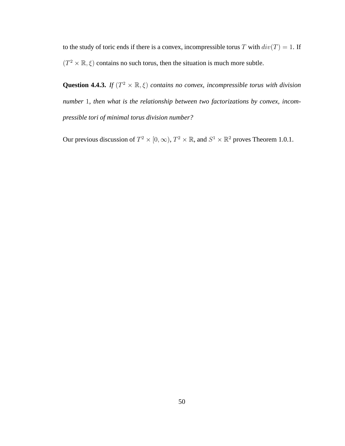to the study of toric ends if there is a convex, incompressible torus T with  $div(T) = 1$ . If  $(T^2 \times \mathbb{R}, \xi)$  contains no such torus, then the situation is much more subtle.

**Question 4.4.3.** *If*  $(T^2 \times \mathbb{R}, \xi)$  *contains no convex, incompressible torus with division number* 1*, then what is the relationship between two factorizations by convex, incompressible tori of minimal torus division number?*

Our previous discussion of  $T^2 \times [0, \infty)$ ,  $T^2 \times \mathbb{R}$ , and  $S^1 \times \mathbb{R}^2$  proves Theorem 1.0.1.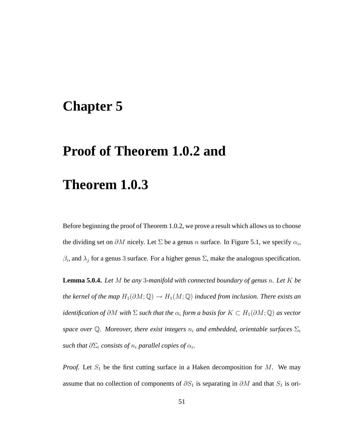#### **Chapter 5**

### **Proof of Theorem 1.0.2 and**

### **Theorem 1.0.3**

Before beginning the proof of Theorem 1.0.2, we prove a result which allows us to choose the dividing set on  $\partial M$  nicely. Let  $\Sigma$  be a genus n surface. In Figure 5.1, we specify  $\alpha_i$ ,  $\beta_i$ , and  $\lambda_j$  for a genus 3 surface. For a higher genus  $\Sigma$ , make the analogous specification.

**Lemma 5.0.4.** *Let* M *be any* 3*-manifold with connected boundary of genus* n*. Let* K *be the kernel of the map*  $H_1(\partial M; \mathbb{Q}) \to H_1(M; \mathbb{Q})$  *induced from inclusion. There exists an*  $i$ *dentification of*  $\partial M$  *with*  $\Sigma$  *such that the*  $\alpha_i$  *form a basis for*  $K\subset H_1(\partial M;\mathbb{Q})$  *as vector space over*  $\mathbb Q$ *. Moreover, there exist integers*  $n_i$  *and embedded, orientable surfaces*  $\Sigma_i$  $s$ uch that  $\partial \Sigma_i$  consists of  $n_i$  parallel copies of  $\alpha_i$ .

*Proof.* Let  $S_1$  be the first cutting surface in a Haken decomposition for M. We may assume that no collection of components of  $\partial S_1$  is separating in  $\partial M$  and that  $S_1$  is ori-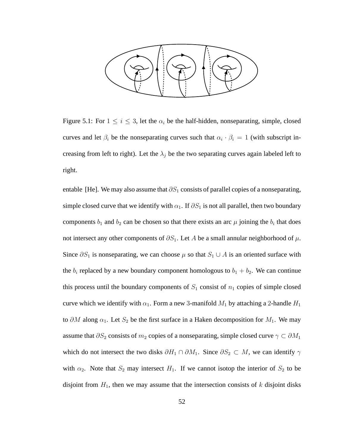

Figure 5.1: For  $1 \le i \le 3$ , let the  $\alpha_i$  be the half-hidden, nonseparating, simple, closed curves and let  $\beta_i$  be the nonseparating curves such that  $\alpha_i \cdot \beta_i = 1$  (with subscript increasing from left to right). Let the  $\lambda_j$  be the two separating curves again labeled left to right.

entable [He]. We may also assume that  $\partial S_1$  consists of parallel copies of a nonseparating, simple closed curve that we identify with  $\alpha_1$ . If  $\partial S_1$  is not all parallel, then two boundary components  $b_1$  and  $b_2$  can be chosen so that there exists an arc  $\mu$  joining the  $b_i$  that does not intersect any other components of  $\partial S_1$ . Let A be a small annular neighborhood of  $\mu$ . Since  $\partial S_1$  is nonseparating, we can choose  $\mu$  so that  $S_1 \cup A$  is an oriented surface with the  $b_i$  replaced by a new boundary component homologous to  $b_1 + b_2$ . We can continue this process until the boundary components of  $S_1$  consist of  $n_1$  copies of simple closed curve which we identify with  $\alpha_1$ . Form a new 3-manifold  $M_1$  by attaching a 2-handle  $H_1$ to  $\partial M$  along  $\alpha_1$ . Let  $S_2$  be the first surface in a Haken decomposition for  $M_1$ . We may assume that  $\partial S_2$  consists of  $m_2$  copies of a nonseparating, simple closed curve  $\gamma \subset \partial M_1$ which do not intersect the two disks  $\partial H_1 \cap \partial M_1$ . Since  $\partial S_2 \subset M$ , we can identify  $\gamma$ with  $\alpha_2$ . Note that  $S_2$  may intersect  $H_1$ . If we cannot isotop the interior of  $S_2$  to be disjoint from  $H_1$ , then we may assume that the intersection consists of k disjoint disks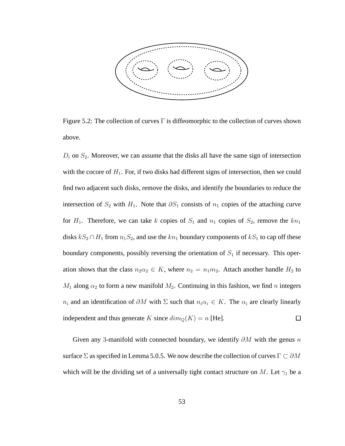

Figure 5.2: The collection of curves  $\Gamma$  is diffeomorphic to the collection of curves shown above.

 $D_i$  on  $S_2$ . Moreover, we can assume that the disks all have the same sign of intersection with the cocore of  $H_1$ . For, if two disks had different signs of intersection, then we could find two adjacent such disks, remove the disks, and identify the boundaries to reduce the intersection of  $S_2$  with  $H_1$ . Note that  $\partial S_1$  consists of  $n_1$  copies of the attaching curve for  $H_1$ . Therefore, we can take k copies of  $S_1$  and  $n_1$  copies of  $S_2$ , remove the  $kn_1$ disks  $kS_2 \cap H_1$  from  $n_1S_2$ , and use the  $kn_1$  boundary components of  $kS_1$  to cap off these boundary components, possibly reversing the orientation of  $S<sub>1</sub>$  if necessary. This operation shows that the class  $n_2\alpha_2 \in K$ , where  $n_2 = n_1m_2$ . Attach another handle  $H_2$  to  $M_1$  along  $\alpha_2$  to form a new manifold  $M_2$ . Continuing in this fashion, we find n integers  $n_i$  and an identification of  $\partial M$  with  $\Sigma$  such that  $n_i\alpha_i \in K$ . The  $\alpha_i$  are clearly linearly independent and thus generate K since  $dim_{\mathbb{Q}}(K) = n$  [He].  $\Box$ 

Given any 3-manifold with connected boundary, we identify  $\partial M$  with the genus n surface  $\Sigma$  as specified in Lemma 5.0.5. We now describe the collection of curves  $\Gamma \subset \partial M$ which will be the dividing set of a universally tight contact structure on M. Let  $\gamma_1$  be a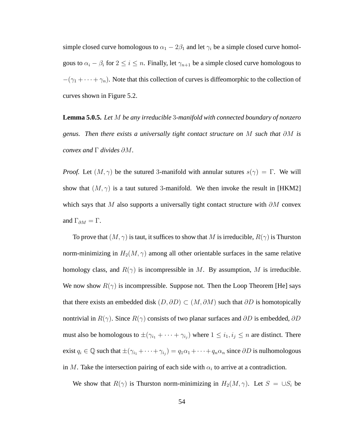simple closed curve homologous to  $\alpha_1 - 2\beta_1$  and let  $\gamma_i$  be a simple closed curve homolgous to  $\alpha_i - \beta_i$  for  $2 \le i \le n$ . Finally, let  $\gamma_{n+1}$  be a simple closed curve homologous to  $-(\gamma_1 + \cdots + \gamma_n)$ . Note that this collection of curves is diffeomorphic to the collection of curves shown in Figure 5.2.

**Lemma 5.0.5.** *Let* M *be any irreducible* 3*-manifold with connected boundary of nonzero genus. Then there exists a universally tight contact structure on* M *such that* ∂M *is convex and* Γ *divides* ∂M*.*

*Proof.* Let  $(M, \gamma)$  be the sutured 3-manifold with annular sutures  $s(\gamma) = \Gamma$ . We will show that  $(M, \gamma)$  is a taut sutured 3-manifold. We then invoke the result in [HKM2] which says that M also supports a universally tight contact structure with  $\partial M$  convex and  $\Gamma_{\partial M} = \Gamma$ .

To prove that  $(M, \gamma)$  is taut, it suffices to show that M is irreducible,  $R(\gamma)$  is Thurston norm-minimizing in  $H_2(M, \gamma)$  among all other orientable surfaces in the same relative homology class, and  $R(\gamma)$  is incompressible in M. By assumption, M is irreducible. We now show  $R(\gamma)$  is incompressible. Suppose not. Then the Loop Theorem [He] says that there exists an embedded disk  $(D, \partial D) \subset (M, \partial M)$  such that  $\partial D$  is homotopically nontrivial in  $R(\gamma)$ . Since  $R(\gamma)$  consists of two planar surfaces and  $\partial D$  is embedded,  $\partial D$ must also be homologous to  $\pm(\gamma_{i_1} + \cdots + \gamma_{i_j})$  where  $1 \leq i_1, i_j \leq n$  are distinct. There exist  $q_i \in \mathbb{Q}$  such that  $\pm(\gamma_{i_1} + \cdots + \gamma_{i_j}) = q_1\alpha_1 + \cdots + q_n\alpha_n$  since  $\partial D$  is nulhomologous in M. Take the intersection pairing of each side with  $\alpha_i$  to arrive at a contradiction.

We show that  $R(\gamma)$  is Thurston norm-minimizing in  $H_2(M, \gamma)$ . Let  $S = \cup S_i$  be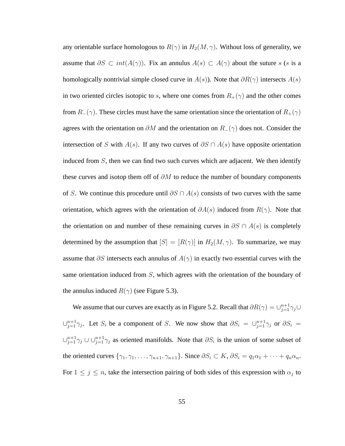any orientable surface homologous to  $R(\gamma)$  in  $H_2(M, \gamma)$ . Without loss of generality, we assume that  $\partial S \subset int(A(\gamma))$ . Fix an annulus  $A(s) \subset A(\gamma)$  about the suture s (s is a homologically nontrivial simple closed curve in  $A(s)$ ). Note that  $\partial R(\gamma)$  intersects  $A(s)$ in two oriented circles isotopic to s, where one comes from  $R_+(\gamma)$  and the other comes from  $R_-(\gamma)$ . These circles must have the same orientation since the orientation of  $R_+(\gamma)$ agrees with the orientation on  $\partial M$  and the orientation on  $R_-(\gamma)$  does not. Consider the intersection of S with  $A(s)$ . If any two curves of  $\partial S \cap A(s)$  have opposite orientation induced from  $S$ , then we can find two such curves which are adjacent. We then identify these curves and isotop them off of  $\partial M$  to reduce the number of boundary components of S. We continue this procedure until  $\partial S \cap A(s)$  consists of two curves with the same orientation, which agrees with the orientation of  $\partial A(s)$  induced from  $R(\gamma)$ . Note that the orientation on and number of these remaining curves in  $\partial S \cap A(s)$  is completely determined by the assumption that  $[S] = [R(\gamma)]$  in  $H_2(M, \gamma)$ . To summarize, we may assume that  $\partial S$  intersects each annulus of  $A(\gamma)$  in exactly two essential curves with the same orientation induced from  $S$ , which agrees with the orientation of the boundary of the annulus induced  $R(\gamma)$  (see Figure 5.3).

We assume that our curves are exactly as in Figure 5.2. Recall that  $\partial R(\gamma) = \cup_{j=1}^{n+1} \gamma_j \cup$  $\cup_{j=1}^{n+1} \gamma_j$ . Let  $S_i$  be a component of S. We now show that  $\partial S_i = \cup_{j=1}^{n+1} \gamma_j$  or  $\partial S_i$  $\cup_{j=1}^{n+1} \gamma_j \cup \cup_{j=1}^{n+1} \gamma_j$  as oriented manifolds. Note that  $\partial S_i$  is the union of some subset of the oriented curves  $\{\gamma_1, \gamma_1, \ldots, \gamma_{n+1}, \gamma_{n+1}\}$ . Since  $\partial S_i \subset K$ ,  $\partial S_i = q_1 \alpha_1 + \cdots + q_n \alpha_n$ . For  $1 \leq j \leq n$ , take the intersection pairing of both sides of this expression with  $\alpha_j$  to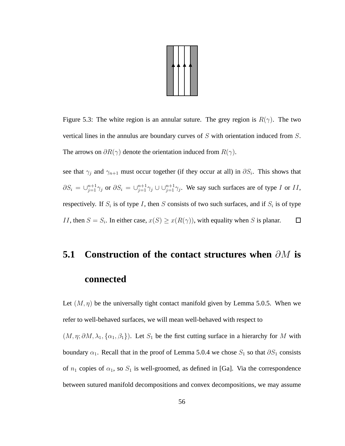

Figure 5.3: The white region is an annular suture. The grey region is  $R(\gamma)$ . The two vertical lines in the annulus are boundary curves of S with orientation induced from S. The arrows on  $\partial R(\gamma)$  denote the orientation induced from  $R(\gamma)$ .

see that  $\gamma_j$  and  $\gamma_{n+1}$  must occur together (if they occur at all) in  $\partial S_i$ . This shows that  $\partial S_i = \bigcup_{j=1}^{n+1} \gamma_j$  or  $\partial S_i = \bigcup_{j=1}^{n+1} \gamma_j \cup \bigcup_{j=1}^{n+1} \gamma_j$ . We say such surfaces are of type I or II, respectively. If  $S_i$  is of type I, then S consists of two such surfaces, and if  $S_i$  is of type  $\Box$ *II*, then  $S = S_i$ . In either case,  $x(S) \ge x(R(\gamma))$ , with equality when S is planar.

## **5.1 Construction of the contact structures when** ∂M **is connected**

Let  $(M, \eta)$  be the universally tight contact manifold given by Lemma 5.0.5. When we refer to well-behaved surfaces, we will mean well-behaved with respect to

 $(M, \eta; \partial M, \lambda_1, {\alpha_1, \beta_1})$ . Let  $S_1$  be the first cutting surface in a hierarchy for M with boundary  $\alpha_1$ . Recall that in the proof of Lemma 5.0.4 we chose  $S_1$  so that  $\partial S_1$  consists of  $n_1$  copies of  $\alpha_1$ , so  $S_1$  is well-groomed, as defined in [Ga]. Via the correspondence between sutured manifold decompositions and convex decompositions, we may assume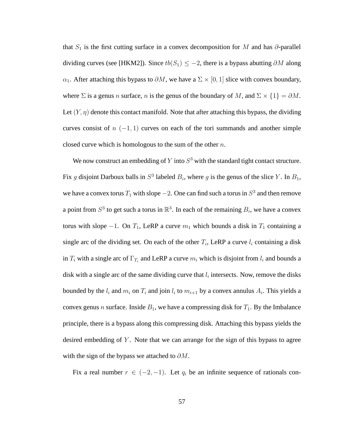that  $S_1$  is the first cutting surface in a convex decomposition for M and has  $\partial$ -parallel dividing curves (see [HKM2]). Since  $tb(S_1) \leq -2$ , there is a bypass abutting  $\partial M$  along  $\alpha_1$ . After attaching this bypass to  $\partial M$ , we have a  $\Sigma \times [0, 1]$  slice with convex boundary, where  $\Sigma$  is a genus n surface, n is the genus of the boundary of M, and  $\Sigma \times \{1\} = \partial M$ . Let  $(Y, \eta)$  denote this contact manifold. Note that after attaching this bypass, the dividing curves consist of  $n(-1,1)$  curves on each of the tori summands and another simple closed curve which is homologous to the sum of the other  $n$ .

We now construct an embedding of Y into  $S^3$  with the standard tight contact structure. Fix g disjoint Darboux balls in  $S^3$  labeled  $B_i$ , where g is the genus of the slice Y. In  $B_1$ , we have a convex torus  $T_1$  with slope  $-2$ . One can find such a torus in  $S^3$  and then remove a point from  $S^3$  to get such a torus in  $\mathbb{R}^3$ . In each of the remaining  $B_i$ , we have a convex torus with slope −1. On  $T_1$ , LeRP a curve  $m_1$  which bounds a disk in  $T_1$  containing a single arc of the dividing set. On each of the other  $T_i$ , LeRP a curve  $l_i$  containing a disk in  $T_i$  with a single arc of  $\Gamma_{T_i}$  and LeRP a curve  $m_i$  which is disjoint from  $l_i$  and bounds a disk with a single arc of the same dividing curve that  $l_i$  intersects. Now, remove the disks bounded by the  $l_i$  and  $m_i$  on  $T_i$  and join  $l_i$  to  $m_{i+1}$  by a convex annulus  $A_i$ . This yields a convex genus n surface. Inside  $B_1$ , we have a compressing disk for  $T_1$ . By the Imbalance principle, there is a bypass along this compressing disk. Attaching this bypass yields the desired embedding of  $Y$ . Note that we can arrange for the sign of this bypass to agree with the sign of the bypass we attached to  $\partial M$ .

Fix a real number  $r \in (-2, -1)$ . Let  $q_i$  be an infinite sequence of rationals con-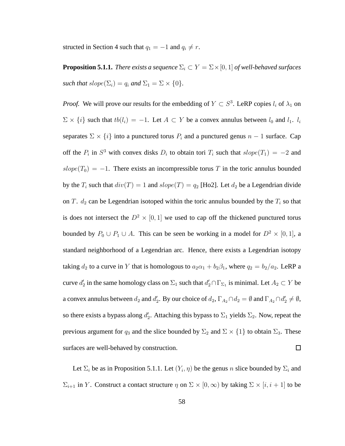structed in Section 4 such that  $q_1 = -1$  and  $q_i \neq r$ .

**Proposition 5.1.1.** *There exists a sequence*  $\Sigma_i \subset Y = \Sigma \times [0, 1]$  *of well-behaved surfaces such that*  $slope(\Sigma_i) = q_i$  *and*  $\Sigma_1 = \Sigma \times \{0\}.$ 

*Proof.* We will prove our results for the embedding of  $Y \subset S^3$ . LeRP copies  $l_i$  of  $\lambda_1$  on  $\Sigma \times \{i\}$  such that  $tb(l_i) = -1$ . Let  $A \subset Y$  be a convex annulus between  $l_0$  and  $l_1$ .  $l_i$ separates  $\Sigma \times \{i\}$  into a punctured torus  $P_i$  and a punctured genus  $n-1$  surface. Cap off the  $P_i$  in  $S^3$  with convex disks  $D_i$  to obtain tori  $T_i$  such that  $slope(T_1) = -2$  and  $slope(T_0) = -1$ . There exists an incompressible torus T in the toric annulus bounded by the  $T_i$  such that  $div(T) = 1$  and  $slope(T) = q_2$  [Ho2]. Let  $d_2$  be a Legendrian divide on T.  $d_2$  can be Legendrian isotoped within the toric annulus bounded by the  $T_i$  so that is does not intersect the  $D^2 \times [0, 1]$  we used to cap off the thickened punctured torus bounded by  $P_0 \cup P_1 \cup A$ . This can be seen be working in a model for  $D^2 \times [0,1]$ , a standard neighborhood of a Legendrian arc. Hence, there exists a Legendrian isotopy taking  $d_2$  to a curve in Y that is homologous to  $a_2\alpha_1 + b_2\beta_1$ , where  $q_2 = b_2/a_2$ . LeRP a curve  $d'_2$  in the same homology class on  $\Sigma_1$  such that  $d'_2 \cap \Gamma_{\Sigma_1}$  is minimal. Let  $A_2 \subset Y$  be a convex annulus between  $d_2$  and  $d'_2$ . By our choice of  $d_2$ ,  $\Gamma_{A_2} \cap d_2 = \emptyset$  and  $\Gamma_{A_2} \cap d'_2 \neq \emptyset$ , so there exists a bypass along  $d'_2$ . Attaching this bypass to  $\Sigma_1$  yields  $\Sigma_2$ . Now, repeat the previous argument for  $q_3$  and the slice bounded by  $\Sigma_2$  and  $\Sigma \times \{1\}$  to obtain  $\Sigma_3$ . These  $\Box$ surfaces are well-behaved by construction.

Let  $\Sigma_i$  be as in Proposition 5.1.1. Let  $(Y_i, \eta)$  be the genus n slice bounded by  $\Sigma_i$  and  $\Sigma_{i+1}$  in Y. Construct a contact structure  $\eta$  on  $\Sigma \times [0, \infty)$  by taking  $\Sigma \times [i, i+1]$  to be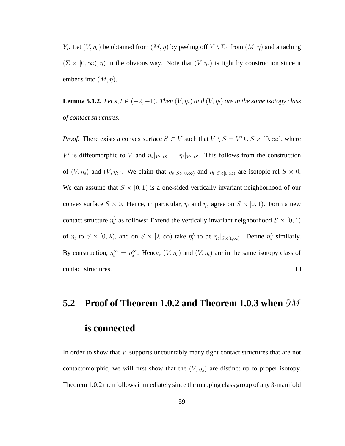$Y_i$ . Let  $(V, \eta_r)$  be obtained from  $(M, \eta)$  by peeling off  $Y \setminus \Sigma_1$  from  $(M, \eta)$  and attaching  $(\Sigma \times [0, \infty), \eta)$  in the obvious way. Note that  $(V, \eta_r)$  is tight by construction since it embeds into  $(M, \eta)$ .

**Lemma 5.1.2.** *Let*  $s, t \in (-2, -1)$ *. Then*  $(V, \eta_s)$  *and*  $(V, \eta_t)$  *are in the same isotopy class of contact structures.*

*Proof.* There exists a convex surface  $S \subset V$  such that  $V \setminus S = V' \cup S \times (0, \infty)$ , where V' is diffeomorphic to V and  $\eta_s|_{V' \cup S} = \eta_t|_{V' \cup S}$ . This follows from the construction of  $(V, \eta_s)$  and  $(V, \eta_t)$ . We claim that  $\eta_s|_{S \times [0,\infty)}$  and  $\eta_t|_{S \times [0,\infty)}$  are isotopic rel  $S \times 0$ . We can assume that  $S \times [0, 1)$  is a one-sided vertically invariant neighborhood of our convex surface  $S \times 0$ . Hence, in particular,  $\eta_t$  and  $\eta_s$  agree on  $S \times [0, 1)$ . Form a new contact structure  $\eta_t^{\lambda}$  as follows: Extend the vertically invariant neighborhood  $S \times [0, 1)$ of  $\eta_t$  to  $S \times [0, \lambda)$ , and on  $S \times [\lambda, \infty)$  take  $\eta_t^{\lambda}$  to be  $\eta_t|_{S \times [1,\infty)}$ . Define  $\eta_s^{\lambda}$  similarly. By construction,  $\eta_t^{\infty} = \eta_s^{\infty}$ . Hence,  $(V, \eta_s)$  and  $(V, \eta_t)$  are in the same isotopy class of contact structures.  $\Box$ 

#### **5.2 Proof of Theorem 1.0.2 and Theorem 1.0.3 when** ∂M

#### **is connected**

In order to show that V supports uncountably many tight contact structures that are not contactomorphic, we will first show that the  $(V, \eta_s)$  are distinct up to proper isotopy. Theorem 1.0.2 then follows immediately since the mapping class group of any 3-manifold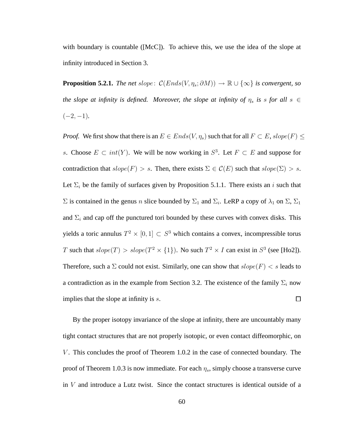with boundary is countable ([McC]). To achieve this, we use the idea of the slope at infinity introduced in Section 3.

**Proposition 5.2.1.** *The net slope:*  $\mathcal{C}(Ends(V, \eta_s; \partial M)) \to \mathbb{R} \cup \{\infty\}$  *is convergent, so the slope at infinity is defined. Moreover, the slope at infinity of*  $\eta_s$  *is s for all*  $s \in$  $(-2, -1)$ .

*Proof.* We first show that there is an  $E \in$  Ends(V,  $\eta_s$ ) such that for all  $F \subset E$ , slope(F)  $\leq$ s. Choose  $E \subset int(Y)$ . We will be now working in  $S^3$ . Let  $F \subset E$  and suppose for contradiction that  $slope(F) > s$ . Then, there exists  $\Sigma \in \mathcal{C}(E)$  such that  $slope(\Sigma) > s$ . Let  $\Sigma_i$  be the family of surfaces given by Proposition 5.1.1. There exists an i such that  $\Sigma$  is contained in the genus n slice bounded by  $\Sigma_1$  and  $\Sigma_i$ . LeRP a copy of  $\lambda_1$  on  $\Sigma$ ,  $\Sigma_1$ and  $\Sigma_i$  and cap off the punctured tori bounded by these curves with convex disks. This yields a toric annulus  $T^2 \times [0,1] \subset S^3$  which contains a convex, incompressible torus T such that  $slope(T) > slope(T^2 \times \{1\})$ . No such  $T^2 \times I$  can exist in  $S^3$  (see [Ho2]). Therefore, such a  $\Sigma$  could not exist. Similarly, one can show that  $slope(F) < s$  leads to a contradiction as in the example from Section 3.2. The existence of the family  $\Sigma_i$  now implies that the slope at infinity is s.  $\Box$ 

By the proper isotopy invariance of the slope at infinity, there are uncountably many tight contact structures that are not properly isotopic, or even contact diffeomorphic, on  $V$ . This concludes the proof of Theorem 1.0.2 in the case of connected boundary. The proof of Theorem 1.0.3 is now immediate. For each  $\eta_s$ , simply choose a transverse curve in  $V$  and introduce a Lutz twist. Since the contact structures is identical outside of a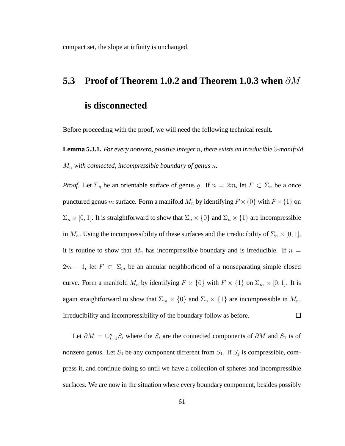compact set, the slope at infinity is unchanged.

#### **5.3 Proof of Theorem 1.0.2 and Theorem 1.0.3 when** ∂M

#### **is disconnected**

Before proceeding with the proof, we will need the following technical result.

**Lemma 5.3.1.** *For every nonzero, positive integer* n*, there exists an irreducible* 3*-manifold*  $M_n$  with connected, incompressible boundary of genus n.

*Proof.* Let  $\Sigma_g$  be an orientable surface of genus g. If  $n = 2m$ , let  $F \subset \Sigma_n$  be a once punctured genus m surface. Form a manifold  $M_n$  by identifying  $F \times \{0\}$  with  $F \times \{1\}$  on  $\Sigma_n \times [0, 1]$ . It is straightforward to show that  $\Sigma_n \times \{0\}$  and  $\Sigma_n \times \{1\}$  are incompressible in  $M_n$ . Using the incompressibility of these surfaces and the irreducibility of  $\Sigma_n \times [0,1]$ , it is routine to show that  $M_n$  has incompressible boundary and is irreducible. If  $n =$ 2m − 1, let  $F \subset \Sigma_m$  be an annular neighborhood of a nonseparating simple closed curve. Form a manifold  $M_n$  by identifying  $F \times \{0\}$  with  $F \times \{1\}$  on  $\Sigma_m \times [0,1]$ . It is again straightforward to show that  $\Sigma_m \times \{0\}$  and  $\Sigma_n \times \{1\}$  are incompressible in  $M_n$ . Irreducibility and incompressibility of the boundary follow as before.  $\Box$ 

Let  $\partial M = \bigcup_{i=1}^n S_i$  where the  $S_i$  are the connected components of  $\partial M$  and  $S_1$  is of nonzero genus. Let  $S_j$  be any component different from  $S_1$ . If  $S_j$  is compressible, compress it, and continue doing so until we have a collection of spheres and incompressible surfaces. We are now in the situation where every boundary component, besides possibly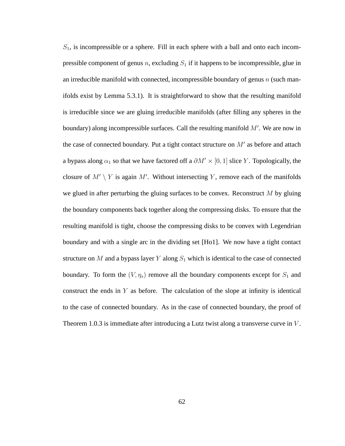$S_1$ , is incompressible or a sphere. Fill in each sphere with a ball and onto each incompressible component of genus n, excluding  $S_1$  if it happens to be incompressible, glue in an irreducible manifold with connected, incompressible boundary of genus  $n$  (such manifolds exist by Lemma 5.3.1). It is straightforward to show that the resulting manifold is irreducible since we are gluing irreducible manifolds (after filling any spheres in the boundary) along incompressible surfaces. Call the resulting manifold  $M'$ . We are now in the case of connected boundary. Put a tight contact structure on  $M'$  as before and attach a bypass along  $\alpha_1$  so that we have factored off a  $\partial M' \times [0, 1]$  slice Y. Topologically, the closure of  $M' \setminus Y$  is again M'. Without intersecting Y, remove each of the manifolds we glued in after perturbing the gluing surfaces to be convex. Reconstruct  $M$  by gluing the boundary components back together along the compressing disks. To ensure that the resulting manifold is tight, choose the compressing disks to be convex with Legendrian boundary and with a single arc in the dividing set [Ho1]. We now have a tight contact structure on M and a bypass layer Y along  $S_1$  which is identical to the case of connected boundary. To form the  $(V, \eta_s)$  remove all the boundary components except for  $S_1$  and construct the ends in  $Y$  as before. The calculation of the slope at infinity is identical to the case of connected boundary. As in the case of connected boundary, the proof of Theorem 1.0.3 is immediate after introducing a Lutz twist along a transverse curve in V.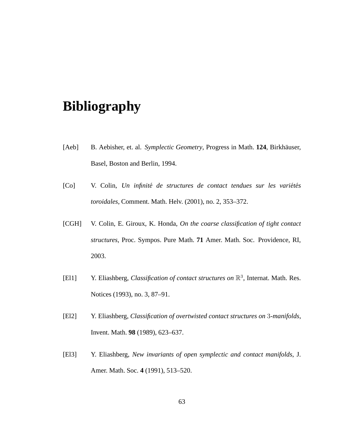### **Bibliography**

- [Aeb] B. Aebisher, et. al. *Symplectic Geometry*, Progress in Math. 124, Birkhäuser, Basel, Boston and Berlin, 1994.
- [Co] V. Colin, *Un infinité de structures de contact tendues sur les variétés toroidales*, Comment. Math. Helv. (2001), no. 2, 353–372.
- [CGH] V. Colin, E. Giroux, K. Honda, *On the coarse classification of tight contact structures*, Proc. Sympos. Pure Math. **71** Amer. Math. Soc. Providence, RI, 2003.
- [El1] Y. Eliashberg, *Classification of contact structures on*  $\mathbb{R}^3$ , Internat. Math. Res. Notices (1993), no. 3, 87–91.
- [El2] Y. Eliashberg, *Classification of overtwisted contact structures on* 3*-manifolds*, Invent. Math. **98** (1989), 623–637.
- [El3] Y. Eliashberg, *New invariants of open symplectic and contact manifolds*, J. Amer. Math. Soc. **4** (1991), 513–520.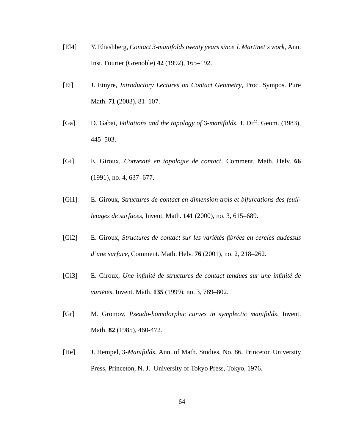- [El4] Y. Eliashberg, *Contact 3-manifolds twenty years since J. Martinet's work*, Ann. Inst. Fourier (Grenoble) **42** (1992), 165–192.
- [Et] J. Etnyre, *Introductory Lectures on Contact Geometry*, Proc. Sympos. Pure Math. **71** (2003), 81–107.
- [Ga] D. Gabai, *Foliations and the topology of* 3*-manifolds*, J. Diff. Geom. (1983), 445–503.
- [Gi] E. Giroux, *Convexite en topologie de contact ´* , Comment. Math. Helv. **66** (1991), no. 4, 637–677.
- [Gi1] E. Giroux, *Structures de contact en dimension trois et bifurcations des feuilletages de surfaces*, Invent. Math. **141** (2000), no. 3, 615–689.
- [Gi2] E. Giroux, *Structures de contact sur les variétés fibrées en cercles audessus d'une surface*, Comment. Math. Helv. **76** (2001), no. 2, 218–262.
- [Gi3] E. Giroux, *Une infinité de structures de contact tendues sur une infinité de variétés*, Invent. Math. **135** (1999), no. 3, 789–802.
- [Gr] M. Gromov, *Pseudo-homolorphic curves in symplectic manifolds*, Invent. Math. **82** (1985), 460-472.
- [He] J. Hempel, 3*-Manifolds*, Ann. of Math. Studies, No. 86. Princeton University Press, Princeton, N. J. University of Tokyo Press, Tokyo, 1976.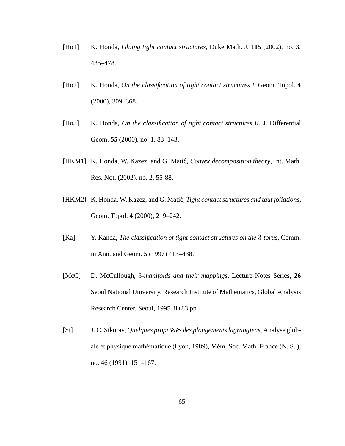- [Ho1] K. Honda, *Gluing tight contact structures*, Duke Math. J. **115** (2002), no. 3, 435–478.
- [Ho2] K. Honda, *On the classification of tight contact structures I*, Geom. Topol. **4** (2000), 309–368.
- [Ho3] K. Honda, *On the classification of tight contact structures II*, J. Differential Geom. **55** (2000), no. 1, 83–143.
- [HKM1] K. Honda, W. Kazez, and G. Matić, *Convex decomposition theory*, Int. Math. Res. Not. (2002), no. 2, 55-88.
- [HKM2] K. Honda, W. Kazez, and G. Matić, *Tight contact structures and taut foliations*, Geom. Topol. **4** (2000), 219–242.
- [Ka] Y. Kanda, *The classification of tight contact structures on the* 3*-torus*, Comm. in Ann. and Geom. **5** (1997) 413–438.
- [McC] D. McCullough, 3*-manifolds and their mappings*, Lecture Notes Series, **26** Seoul National University, Research Institute of Mathematics, Global Analysis Research Center, Seoul, 1995. ii+83 pp.
- [Si] J. C. Sikorav, *Quelques propriet´ es des plongements lagrangiens ´* , Analyse globale et physique mathématique (Lyon, 1989), Mém. Soc. Math. France (N. S.), no. 46 (1991), 151–167.